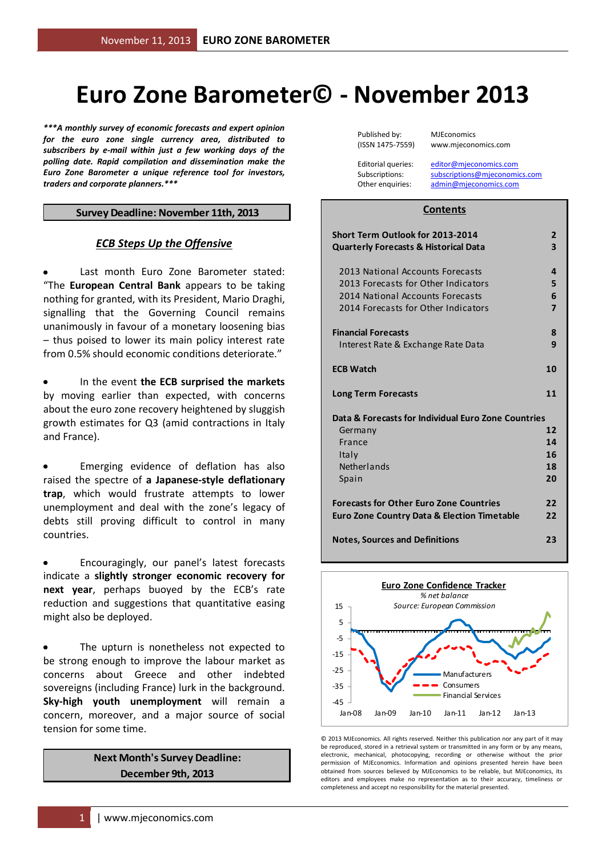# **Euro Zone Barometer© - November 2013**

*\*\*\*A monthly survey of economic forecasts and expert opinion for the euro zone single currency area, distributed to subscribers by e-mail within just a few working days of the polling date. Rapid compilation and dissemination make the Euro Zone Barometer a unique reference tool for investors, traders and corporate planners.\*\*\**

#### **Survey Deadline: November 11th, 2013**

#### *ECB Steps Up the Offensive*

Last month Euro Zone Barometer stated: "The **European Central Bank** appears to be taking nothing for granted, with its President, Mario Draghi, signalling that the Governing Council remains unanimously in favour of a monetary loosening bias – thus poised to lower its main policy interest rate from 0.5% should economic conditions deteriorate."

In the event **the ECB surprised the markets** by moving earlier than expected, with concerns about the euro zone recovery heightened by sluggish growth estimates for Q3 (amid contractions in Italy and France).

Emerging evidence of deflation has also raised the spectre of **a Japanese-style deflationary trap**, which would frustrate attempts to lower unemployment and deal with the zone's legacy of debts still proving difficult to control in many countries.

Encouragingly, our panel's latest forecasts indicate a **slightly stronger economic recovery for next year**, perhaps buoyed by the ECB's rate reduction and suggestions that quantitative easing might also be deployed.

The upturn is nonetheless not expected to be strong enough to improve the labour market as concerns about Greece and other indebted sovereigns (including France) lurk in the background. **Sky-high youth unemployment** will remain a concern, moreover, and a major source of social tension for some time.

> **Next Month's Survey Deadline: December 9th, 2013**

Published by: MJEconomics

(ISSN 1475-7559) www.mjeconomics.com

Editorial queries: [editor@mjeconomics.com](mailto:editor@mjeconomics.com)<br>Subscriptions: subscriptions@mieconomi subscriptions@mieconomics.com Other enquiries: [admin@mjeconomics.com](mailto:admin@mjeconomics.com)

#### **Contents**

| <b>Short Term Outlook for 2013-2014</b><br><b>Quarterly Forecasts &amp; Historical Data</b>                                                        | $\overline{2}$<br>3           |
|----------------------------------------------------------------------------------------------------------------------------------------------------|-------------------------------|
| 2013 National Accounts Forecasts<br>2013 Forecasts for Other Indicators<br>2014 National Accounts Forecasts<br>2014 Forecasts for Other Indicators | 4<br>5<br>6<br>$\overline{7}$ |
| <b>Financial Forecasts</b>                                                                                                                         | 8                             |
| Interest Rate & Exchange Rate Data                                                                                                                 | 9                             |
| <b>ECB Watch</b>                                                                                                                                   | 10                            |
| <b>Long Term Forecasts</b>                                                                                                                         | 11                            |
| Data & Forecasts for Individual Euro Zone Countries                                                                                                |                               |
| Germany                                                                                                                                            | 12                            |
| France                                                                                                                                             | 14                            |
| Italy                                                                                                                                              | 16                            |
| <b>Netherlands</b>                                                                                                                                 | 18                            |
| Spain                                                                                                                                              | 20                            |
| <b>Forecasts for Other Euro Zone Countries</b><br><b>Euro Zone Country Data &amp; Election Timetable</b>                                           | 22<br>22                      |
| <b>Notes, Sources and Definitions</b>                                                                                                              | 23                            |



© 2013 MJEconomics. All rights reserved. Neither this publication nor any part of it may be reproduced, stored in a retrieval system or transmitted in any form or by any means, electronic, mechanical, photocopying, recording or otherwise without the prior permission of MJEconomics. Information and opinions presented herein have been obtained from sources believed by MJEconomics to be reliable, but MJEconomics, its editors and employees make no representation as to their accuracy, timeliness or completeness and accept no responsibility for the material presented.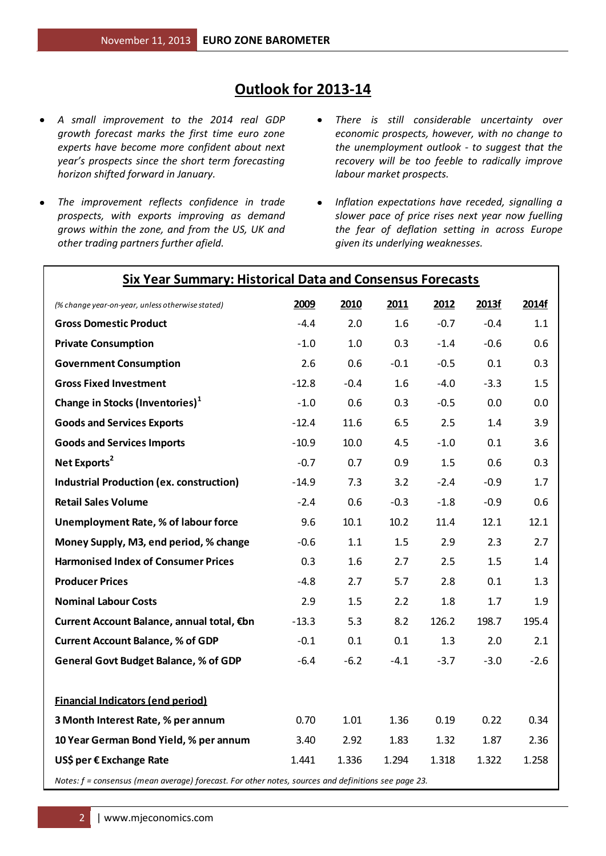### **Outlook for 2013-14**

- *A small improvement to the 2014 real GDP growth forecast marks the first time euro zone experts have become more confident about next year's prospects since the short term forecasting horizon shifted forward in January.*
- *The improvement reflects confidence in trade prospects, with exports improving as demand grows within the zone, and from the US, UK and other trading partners further afield.*
- *There is still considerable uncertainty over*   $\bullet$ *economic prospects, however, with no change to the unemployment outlook - to suggest that the recovery will be too feeble to radically improve labour market prospects.*
- *Inflation expectations have receded, signalling a*   $\bullet$ *slower pace of price rises next year now fuelling the fear of deflation setting in across Europe given its underlying weaknesses.*

| <b>Six Year Summary: Historical Data and Consensus Forecasts</b>                                    |         |        |        |        |        |        |  |  |
|-----------------------------------------------------------------------------------------------------|---------|--------|--------|--------|--------|--------|--|--|
| (% change year-on-year, unless otherwise stated)                                                    | 2009    | 2010   | 2011   | 2012   | 2013f  | 2014f  |  |  |
| <b>Gross Domestic Product</b>                                                                       | $-4.4$  | 2.0    | 1.6    | $-0.7$ | $-0.4$ | 1.1    |  |  |
| <b>Private Consumption</b>                                                                          | $-1.0$  | 1.0    | 0.3    | $-1.4$ | $-0.6$ | 0.6    |  |  |
| <b>Government Consumption</b>                                                                       | 2.6     | 0.6    | $-0.1$ | $-0.5$ | 0.1    | 0.3    |  |  |
| <b>Gross Fixed Investment</b>                                                                       | $-12.8$ | $-0.4$ | 1.6    | $-4.0$ | $-3.3$ | 1.5    |  |  |
| Change in Stocks (Inventories) <sup>1</sup>                                                         | $-1.0$  | 0.6    | 0.3    | $-0.5$ | 0.0    | 0.0    |  |  |
| <b>Goods and Services Exports</b>                                                                   | $-12.4$ | 11.6   | 6.5    | 2.5    | 1.4    | 3.9    |  |  |
| <b>Goods and Services Imports</b>                                                                   | $-10.9$ | 10.0   | 4.5    | $-1.0$ | 0.1    | 3.6    |  |  |
| Net Exports <sup>2</sup>                                                                            | $-0.7$  | 0.7    | 0.9    | 1.5    | 0.6    | 0.3    |  |  |
| <b>Industrial Production (ex. construction)</b>                                                     | $-14.9$ | 7.3    | 3.2    | $-2.4$ | $-0.9$ | 1.7    |  |  |
| <b>Retail Sales Volume</b>                                                                          | $-2.4$  | 0.6    | $-0.3$ | $-1.8$ | $-0.9$ | 0.6    |  |  |
| Unemployment Rate, % of labour force                                                                | 9.6     | 10.1   | 10.2   | 11.4   | 12.1   | 12.1   |  |  |
| Money Supply, M3, end period, % change                                                              | $-0.6$  | 1.1    | 1.5    | 2.9    | 2.3    | 2.7    |  |  |
| <b>Harmonised Index of Consumer Prices</b>                                                          | 0.3     | 1.6    | 2.7    | 2.5    | 1.5    | 1.4    |  |  |
| <b>Producer Prices</b>                                                                              | $-4.8$  | 2.7    | 5.7    | 2.8    | 0.1    | 1.3    |  |  |
| <b>Nominal Labour Costs</b>                                                                         | 2.9     | 1.5    | 2.2    | 1.8    | 1.7    | 1.9    |  |  |
| Current Account Balance, annual total, €bn                                                          | $-13.3$ | 5.3    | 8.2    | 126.2  | 198.7  | 195.4  |  |  |
| <b>Current Account Balance, % of GDP</b>                                                            | $-0.1$  | 0.1    | 0.1    | 1.3    | 2.0    | 2.1    |  |  |
| <b>General Govt Budget Balance, % of GDP</b>                                                        | $-6.4$  | $-6.2$ | $-4.1$ | $-3.7$ | $-3.0$ | $-2.6$ |  |  |
| <b>Financial Indicators (end period)</b>                                                            |         |        |        |        |        |        |  |  |
| 3 Month Interest Rate, % per annum                                                                  | 0.70    | 1.01   | 1.36   | 0.19   | 0.22   | 0.34   |  |  |
| 10 Year German Bond Yield, % per annum                                                              | 3.40    | 2.92   | 1.83   | 1.32   | 1.87   | 2.36   |  |  |
| US\$ per € Exchange Rate                                                                            | 1.441   | 1.336  | 1.294  | 1.318  | 1.322  | 1.258  |  |  |
| Notes: f = consensus (mean average) forecast. For other notes, sources and definitions see page 23. |         |        |        |        |        |        |  |  |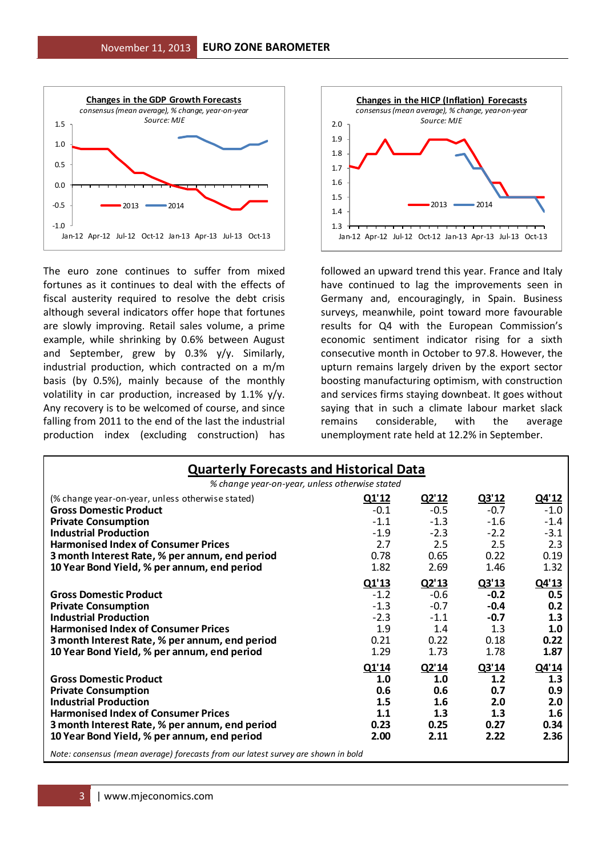

The euro zone continues to suffer from mixed fortunes as it continues to deal with the effects of fiscal austerity required to resolve the debt crisis although several indicators offer hope that fortunes are slowly improving. Retail sales volume, a prime example, while shrinking by 0.6% between August and September, grew by 0.3% y/y. Similarly, industrial production, which contracted on a m/m basis (by 0.5%), mainly because of the monthly volatility in car production, increased by 1.1% y/y. Any recovery is to be welcomed of course, and since falling from 2011 to the end of the last the industrial production index (excluding construction) has



followed an upward trend this year. France and Italy have continued to lag the improvements seen in Germany and, encouragingly, in Spain. Business surveys, meanwhile, point toward more favourable results for Q4 with the European Commission's economic sentiment indicator rising for a sixth consecutive month in October to 97.8. However, the upturn remains largely driven by the export sector boosting manufacturing optimism, with construction and services firms staying downbeat. It goes without saying that in such a climate labour market slack remains considerable, with the average unemployment rate held at 12.2% in September.

| <b>Quarterly Forecasts and Historical Data</b>                                                                                                                                                                                             |                                                   |                                                   |                                                   |                                                   |  |  |  |  |  |
|--------------------------------------------------------------------------------------------------------------------------------------------------------------------------------------------------------------------------------------------|---------------------------------------------------|---------------------------------------------------|---------------------------------------------------|---------------------------------------------------|--|--|--|--|--|
| % change year-on-year, unless otherwise stated                                                                                                                                                                                             |                                                   |                                                   |                                                   |                                                   |  |  |  |  |  |
| (% change year-on-year, unless otherwise stated)<br><b>Gross Domestic Product</b>                                                                                                                                                          | Q1'12<br>$-0.1$                                   | Q2'12<br>$-0.5$                                   | Q3'12<br>$-0.7$                                   | Q4'12<br>$-1.0$                                   |  |  |  |  |  |
| <b>Private Consumption</b>                                                                                                                                                                                                                 | $-1.1$                                            | $-1.3$                                            | $-1.6$                                            | $-1.4$                                            |  |  |  |  |  |
| <b>Industrial Production</b><br><b>Harmonised Index of Consumer Prices</b>                                                                                                                                                                 | $-1.9$<br>2.7                                     | $-2.3$<br>2.5                                     | $-2.2$<br>2.5                                     | $-3.1$<br>2.3                                     |  |  |  |  |  |
| 3 month Interest Rate, % per annum, end period<br>10 Year Bond Yield, % per annum, end period                                                                                                                                              | 0.78<br>1.82                                      | 0.65<br>2.69                                      | 0.22<br>1.46                                      | 0.19<br>1.32                                      |  |  |  |  |  |
|                                                                                                                                                                                                                                            | Q1'13                                             | Q2'13                                             | Q3'13                                             | Q4'13                                             |  |  |  |  |  |
| <b>Gross Domestic Product</b><br><b>Private Consumption</b>                                                                                                                                                                                | $-1.2$<br>$-1.3$                                  | $-0.6$<br>$-0.7$                                  | $-0.2$<br>$-0.4$                                  | 0.5<br>0.2                                        |  |  |  |  |  |
| <b>Industrial Production</b>                                                                                                                                                                                                               | $-2.3$                                            | $-1.1$                                            | $-0.7$                                            | 1.3                                               |  |  |  |  |  |
| <b>Harmonised Index of Consumer Prices</b><br>3 month Interest Rate, % per annum, end period                                                                                                                                               | 1.9<br>0.21                                       | 1.4<br>0.22                                       | 1.3<br>0.18                                       | 1.0<br>0.22                                       |  |  |  |  |  |
| 10 Year Bond Yield, % per annum, end period                                                                                                                                                                                                | 1.29                                              | 1.73                                              | 1.78                                              | 1.87                                              |  |  |  |  |  |
| <b>Gross Domestic Product</b><br><b>Private Consumption</b><br><b>Industrial Production</b><br><b>Harmonised Index of Consumer Prices</b><br>3 month Interest Rate, % per annum, end period<br>10 Year Bond Yield, % per annum, end period | Q1'14<br>1.0<br>0.6<br>1.5<br>1.1<br>0.23<br>2.00 | Q2'14<br>1.0<br>0.6<br>1.6<br>1.3<br>0.25<br>2.11 | Q3'14<br>1.2<br>0.7<br>2.0<br>1.3<br>0.27<br>2.22 | Q4'14<br>1.3<br>0.9<br>2.0<br>1.6<br>0.34<br>2.36 |  |  |  |  |  |
| Note: consensus (mean average) forecasts from our latest survey are shown in bold                                                                                                                                                          |                                                   |                                                   |                                                   |                                                   |  |  |  |  |  |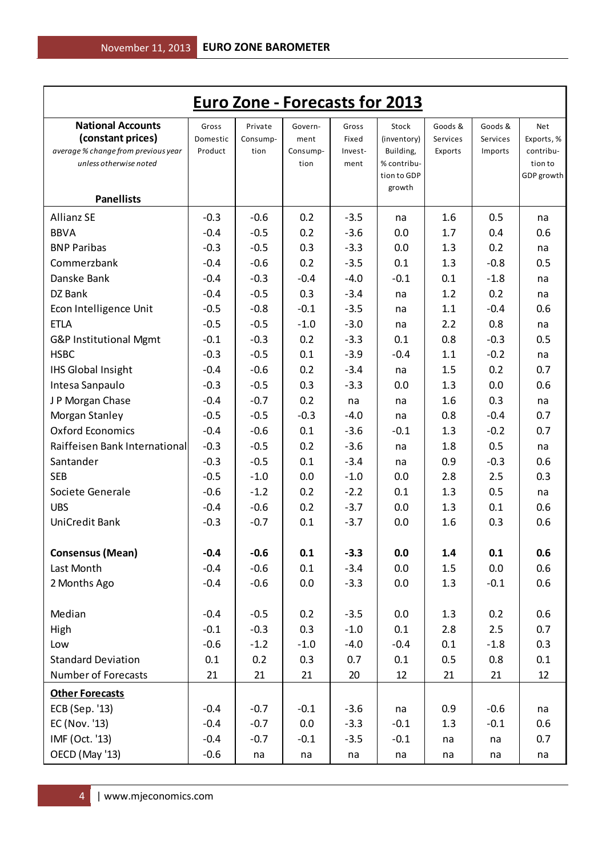|                                                                                      |                              |                             |                             |                           | <b>Euro Zone - Forecasts for 2013</b> |                                |                                |                                |
|--------------------------------------------------------------------------------------|------------------------------|-----------------------------|-----------------------------|---------------------------|---------------------------------------|--------------------------------|--------------------------------|--------------------------------|
| <b>National Accounts</b><br>(constant prices)<br>average % change from previous year | Gross<br>Domestic<br>Product | Private<br>Consump-<br>tion | Govern-<br>ment<br>Consump- | Gross<br>Fixed<br>Invest- | Stock<br>(inventory)<br>Building,     | Goods &<br>Services<br>Exports | Goods &<br>Services<br>Imports | Net<br>Exports, %<br>contribu- |
| unless otherwise noted                                                               |                              |                             | tion                        | ment                      | % contribu-<br>tion to GDP<br>growth  |                                |                                | tion to<br>GDP growth          |
| <b>Panellists</b>                                                                    |                              |                             |                             |                           |                                       |                                |                                |                                |
| <b>Allianz SE</b>                                                                    | $-0.3$                       | $-0.6$                      | 0.2                         | $-3.5$                    | na                                    | 1.6                            | 0.5                            | na                             |
| <b>BBVA</b>                                                                          | $-0.4$                       | $-0.5$                      | 0.2                         | $-3.6$                    | 0.0                                   | 1.7                            | 0.4                            | 0.6                            |
| <b>BNP Paribas</b>                                                                   | $-0.3$                       | $-0.5$                      | 0.3                         | $-3.3$                    | 0.0                                   | 1.3                            | 0.2                            | na                             |
| Commerzbank                                                                          | $-0.4$                       | $-0.6$                      | 0.2                         | $-3.5$                    | 0.1                                   | 1.3                            | $-0.8$                         | 0.5                            |
| Danske Bank                                                                          | $-0.4$                       | $-0.3$                      | $-0.4$                      | $-4.0$                    | $-0.1$                                | 0.1                            | $-1.8$                         | na                             |
| DZ Bank                                                                              | $-0.4$                       | $-0.5$                      | 0.3                         | $-3.4$                    | na                                    | 1.2                            | 0.2                            | na                             |
| Econ Intelligence Unit                                                               | $-0.5$                       | $-0.8$                      | $-0.1$                      | $-3.5$                    | na                                    | 1.1                            | $-0.4$                         | 0.6                            |
| <b>ETLA</b>                                                                          | $-0.5$                       | $-0.5$                      | $-1.0$                      | $-3.0$                    | na                                    | 2.2                            | 0.8                            | na                             |
| G&P Institutional Mgmt                                                               | $-0.1$                       | $-0.3$                      | 0.2                         | $-3.3$                    | 0.1                                   | 0.8                            | $-0.3$                         | 0.5                            |
| <b>HSBC</b>                                                                          | $-0.3$                       | $-0.5$                      | 0.1                         | $-3.9$                    | $-0.4$                                | 1.1                            | $-0.2$                         | na                             |
| <b>IHS Global Insight</b>                                                            | $-0.4$                       | $-0.6$                      | 0.2                         | $-3.4$                    | na                                    | 1.5                            | 0.2                            | 0.7                            |
| Intesa Sanpaulo                                                                      | $-0.3$                       | $-0.5$                      | 0.3                         | $-3.3$                    | 0.0                                   | 1.3                            | 0.0                            | 0.6                            |
| J P Morgan Chase                                                                     | $-0.4$                       | $-0.7$                      | 0.2                         | na                        | na                                    | 1.6                            | 0.3                            | na                             |
| Morgan Stanley                                                                       | $-0.5$                       | $-0.5$                      | $-0.3$                      | $-4.0$                    | na                                    | 0.8                            | $-0.4$                         | 0.7                            |
| <b>Oxford Economics</b>                                                              | $-0.4$                       | $-0.6$                      | 0.1                         | $-3.6$                    | $-0.1$                                | 1.3                            | $-0.2$                         | 0.7                            |
| Raiffeisen Bank International                                                        | $-0.3$                       | $-0.5$                      | 0.2                         | $-3.6$                    | na                                    | 1.8                            | 0.5                            | na                             |
| Santander                                                                            | $-0.3$                       | $-0.5$                      | 0.1                         | $-3.4$                    | na                                    | 0.9                            | $-0.3$                         | 0.6                            |
| <b>SEB</b>                                                                           | $-0.5$                       | $-1.0$                      | 0.0                         | $-1.0$                    | 0.0                                   | 2.8                            | 2.5                            | 0.3                            |
| Societe Generale                                                                     | $-0.6$                       | $-1.2$                      | 0.2                         | $-2.2$                    | 0.1                                   | 1.3                            | 0.5                            | na                             |
| <b>UBS</b>                                                                           | $-0.4$                       | $-0.6$                      | 0.2                         | $-3.7$                    | 0.0                                   | 1.3                            | 0.1                            | 0.6                            |
| UniCredit Bank                                                                       | $-0.3$                       | $-0.7$                      | 0.1                         | $-3.7$                    | 0.0                                   | 1.6                            | 0.3                            | 0.6                            |
| <b>Consensus (Mean)</b>                                                              | $-0.4$                       | $-0.6$                      | 0.1                         | $-3.3$                    | 0.0                                   | 1.4                            | 0.1                            | 0.6                            |
| Last Month                                                                           | $-0.4$                       | $-0.6$                      | 0.1                         | $-3.4$                    | 0.0                                   | 1.5                            | 0.0                            | 0.6                            |
| 2 Months Ago                                                                         | $-0.4$                       | $-0.6$                      | 0.0                         | $-3.3$                    | 0.0                                   | 1.3                            | $-0.1$                         | 0.6                            |
| Median                                                                               | $-0.4$                       | $-0.5$                      | 0.2                         | $-3.5$                    | 0.0                                   | 1.3                            | 0.2                            | 0.6                            |
| High                                                                                 | $-0.1$                       | $-0.3$                      | 0.3                         | $-1.0$                    | 0.1                                   | 2.8                            | 2.5                            | 0.7                            |
| Low                                                                                  | $-0.6$                       | $-1.2$                      | $-1.0$                      | $-4.0$                    | $-0.4$                                | 0.1                            | $-1.8$                         | 0.3                            |
| <b>Standard Deviation</b>                                                            | 0.1                          | 0.2                         | 0.3                         | 0.7                       | 0.1                                   | 0.5                            | 0.8                            | 0.1                            |
| <b>Number of Forecasts</b>                                                           | 21                           | 21                          | 21                          | 20                        | 12                                    | 21                             | 21                             | 12                             |
| <b>Other Forecasts</b>                                                               |                              |                             |                             |                           |                                       |                                |                                |                                |
| ECB (Sep. '13)                                                                       | $-0.4$                       | $-0.7$                      | $-0.1$                      | $-3.6$                    | na                                    | 0.9                            | $-0.6$                         | na                             |
| EC (Nov. '13)                                                                        | $-0.4$                       | $-0.7$                      | 0.0                         | $-3.3$                    | $-0.1$                                | 1.3                            | $-0.1$                         | 0.6                            |
| IMF (Oct. '13)                                                                       | $-0.4$                       | $-0.7$                      | $-0.1$                      | $-3.5$                    | $-0.1$                                | na                             | na                             | 0.7                            |
| OECD (May '13)                                                                       | $-0.6$                       | na                          | na                          | na                        | na                                    | na                             | na                             | na                             |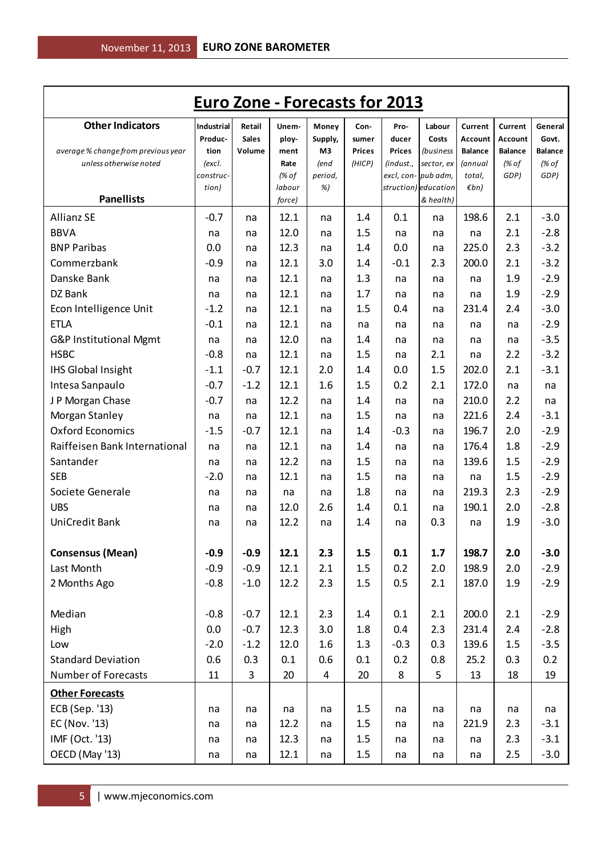|                                                               | <b>Euro Zone - Forecasts for 2013</b> |              |              |            |                         |               |                                          |                           |                         |                         |
|---------------------------------------------------------------|---------------------------------------|--------------|--------------|------------|-------------------------|---------------|------------------------------------------|---------------------------|-------------------------|-------------------------|
| <b>Other Indicators</b>                                       | Industrial                            | Retail       | Unem-        | Money      | Con-                    | Pro-          | Labour                                   | Current                   | Current                 | General                 |
|                                                               | Produc-                               | <b>Sales</b> | ploy-        | Supply,    | sumer                   | ducer         | Costs                                    | Account                   | Account                 | Govt.                   |
| average % change from previous year<br>unless otherwise noted | tion<br>(excl.                        | Volume       | ment<br>Rate | M3<br>(end | <b>Prices</b><br>(HICP) | <b>Prices</b> | <i>(business</i><br>(indust., sector, ex | <b>Balance</b><br>(annual | <b>Balance</b><br>(% of | <b>Balance</b><br>(% of |
|                                                               | construc-                             |              | (% of        | period,    |                         |               | excl, con- pub adm,                      | total,                    | GDP)                    | GDP)                    |
|                                                               | tion)                                 |              | labour       | %)         |                         |               | struction) education                     | $\n  Emb\n$               |                         |                         |
| <b>Panellists</b>                                             |                                       |              | force)       |            |                         |               | & health)                                |                           |                         |                         |
| <b>Allianz SE</b>                                             | $-0.7$                                | na           | 12.1         | na         | 1.4                     | 0.1           | na                                       | 198.6                     | 2.1                     | $-3.0$                  |
| <b>BBVA</b>                                                   | na                                    | na           | 12.0         | na         | 1.5                     | na            | na                                       | na                        | 2.1                     | $-2.8$                  |
| <b>BNP Paribas</b>                                            | 0.0                                   | na           | 12.3         | na         | 1.4                     | 0.0           | na                                       | 225.0                     | 2.3                     | $-3.2$                  |
| Commerzbank                                                   | $-0.9$                                | na           | 12.1         | 3.0        | 1.4                     | $-0.1$        | 2.3                                      | 200.0                     | 2.1                     | $-3.2$                  |
| Danske Bank                                                   | na                                    | na           | 12.1         | na         | 1.3                     | na            | na                                       | na                        | 1.9                     | $-2.9$                  |
| DZ Bank                                                       | na                                    | na           | 12.1         | na         | 1.7                     | na            | na                                       | na                        | 1.9                     | $-2.9$                  |
| Econ Intelligence Unit                                        | $-1.2$                                | na           | 12.1         | na         | 1.5                     | 0.4           | na                                       | 231.4                     | 2.4                     | $-3.0$                  |
| <b>ETLA</b>                                                   | $-0.1$                                | na           | 12.1         | na         | na                      | na            | na                                       | na                        | na                      | $-2.9$                  |
| G&P Institutional Mgmt                                        | na                                    | na           | 12.0         | na         | 1.4                     | na            | na                                       | na                        | na                      | $-3.5$                  |
| <b>HSBC</b>                                                   | $-0.8$                                | na           | 12.1         | na         | 1.5                     | na            | 2.1                                      | na                        | 2.2                     | $-3.2$                  |
| <b>IHS Global Insight</b>                                     | $-1.1$                                | $-0.7$       | 12.1         | 2.0        | 1.4                     | 0.0           | 1.5                                      | 202.0                     | 2.1                     | $-3.1$                  |
| Intesa Sanpaulo                                               | $-0.7$                                | $-1.2$       | 12.1         | 1.6        | 1.5                     | 0.2           | 2.1                                      | 172.0                     | na                      | na                      |
| J P Morgan Chase                                              | $-0.7$                                | na           | 12.2         | na         | 1.4                     | na            | na                                       | 210.0                     | 2.2                     | na                      |
| Morgan Stanley                                                | na                                    | na           | 12.1         | na         | 1.5                     | na            | na                                       | 221.6                     | 2.4                     | $-3.1$                  |
| <b>Oxford Economics</b>                                       | $-1.5$                                | $-0.7$       | 12.1         | na         | 1.4                     | $-0.3$        | na                                       | 196.7                     | 2.0                     | $-2.9$                  |
| Raiffeisen Bank International                                 | na                                    | na           | 12.1         | na         | 1.4                     | na            | na                                       | 176.4                     | 1.8                     | $-2.9$                  |
| Santander                                                     | na                                    | na           | 12.2         | na         | 1.5                     | na            | na                                       | 139.6                     | 1.5                     | $-2.9$                  |
| <b>SEB</b>                                                    | $-2.0$                                | na           | 12.1         | na         | 1.5                     | na            | na                                       | na                        | 1.5                     | $-2.9$                  |
| Societe Generale                                              | na                                    | na           | na           | na         | 1.8                     | na            | na                                       | 219.3                     | 2.3                     | $-2.9$                  |
| <b>UBS</b>                                                    | na                                    | na           | 12.0         | 2.6        | 1.4                     | 0.1           | na                                       | 190.1                     | 2.0                     | $-2.8$                  |
| <b>UniCredit Bank</b>                                         | na                                    | na           | 12.2         | na         | 1.4                     | na            | 0.3                                      | na                        | 1.9                     | $-3.0$                  |
| <b>Consensus (Mean)</b>                                       | $-0.9$                                | $-0.9$       | 12.1         | 2.3        | 1.5                     | 0.1           | 1.7                                      | 198.7                     | 2.0                     | $-3.0$                  |
| Last Month                                                    | $-0.9$                                | $-0.9$       | 12.1         | 2.1        | $1.5\,$                 | 0.2           | 2.0                                      | 198.9                     | 2.0                     | $-2.9$                  |
| 2 Months Ago                                                  | $-0.8$                                | $-1.0$       | 12.2         | 2.3        | 1.5                     | 0.5           | 2.1                                      | 187.0                     | 1.9                     | $-2.9$                  |
|                                                               |                                       |              |              |            |                         |               |                                          |                           |                         |                         |
| Median                                                        | $-0.8$                                | $-0.7$       | 12.1         | 2.3        | 1.4                     | 0.1           | 2.1                                      | 200.0                     | 2.1                     | $-2.9$                  |
| High                                                          | 0.0                                   | $-0.7$       | 12.3         | 3.0        | 1.8                     | 0.4           | 2.3                                      | 231.4                     | 2.4                     | $-2.8$                  |
| Low                                                           | $-2.0$                                | $-1.2$       | 12.0         | 1.6        | 1.3                     | $-0.3$        | 0.3                                      | 139.6                     | 1.5                     | $-3.5$                  |
| <b>Standard Deviation</b>                                     | 0.6                                   | 0.3          | 0.1          | 0.6        | 0.1                     | 0.2           | 0.8                                      | 25.2                      | 0.3                     | 0.2                     |
| Number of Forecasts                                           | 11                                    | $\mathsf{3}$ | 20           | 4          | 20                      | 8             | 5                                        | 13                        | 18                      | 19                      |
| <b>Other Forecasts</b>                                        |                                       |              |              |            |                         |               |                                          |                           |                         |                         |
| ECB (Sep. '13)                                                | na                                    | na           | na           | na         | 1.5                     | na            | na                                       | na                        | na                      | na                      |
| EC (Nov. '13)                                                 | na                                    | na           | 12.2         | na         | 1.5                     | na            | na                                       | 221.9                     | 2.3                     | $-3.1$                  |
| IMF (Oct. '13)                                                | na                                    | na           | 12.3         | na         | 1.5                     | na            | na                                       | na                        | 2.3                     | $-3.1$                  |
| OECD (May '13)                                                | na                                    | na           | 12.1         | na         | 1.5                     | na            | na                                       | na                        | 2.5                     | $-3.0$                  |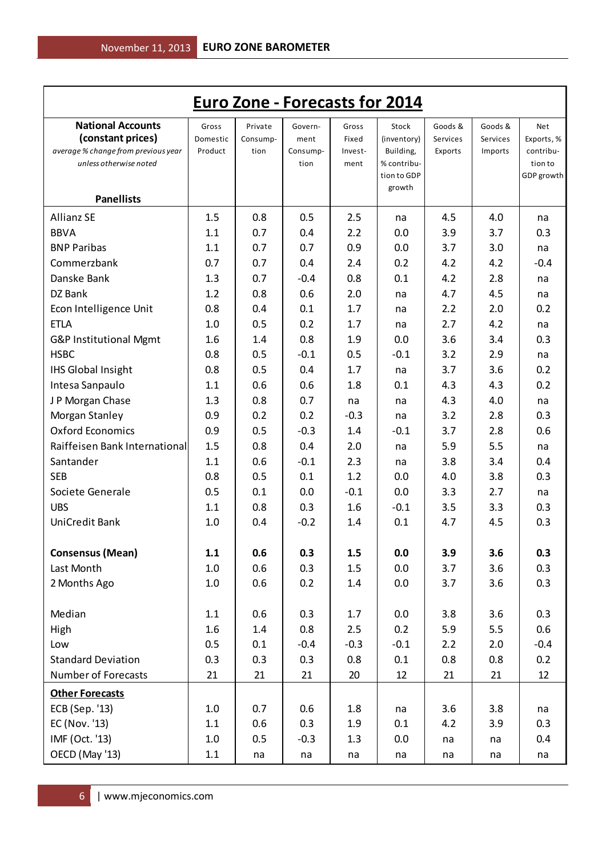|                                                               |          |          |                  |                 | <b>Euro Zone - Forecasts for 2014</b> |          |          |                      |
|---------------------------------------------------------------|----------|----------|------------------|-----------------|---------------------------------------|----------|----------|----------------------|
| <b>National Accounts</b>                                      | Gross    | Private  | Govern-          | Gross           | Stock                                 | Goods &  | Goods &  | Net                  |
| (constant prices)                                             | Domestic | Consump- | ment             | Fixed           | (inventory)                           | Services | Services | Exports, %           |
| average % change from previous year<br>unless otherwise noted | Product  | tion     | Consump-<br>tion | Invest-<br>ment | Building,<br>% contribu-              | Exports  | Imports  | contribu-<br>tion to |
|                                                               |          |          |                  |                 | tion to GDP                           |          |          | GDP growth           |
| <b>Panellists</b>                                             |          |          |                  |                 | growth                                |          |          |                      |
| <b>Allianz SE</b>                                             | 1.5      | 0.8      | 0.5              | 2.5             | na                                    | 4.5      | 4.0      | na                   |
| <b>BBVA</b>                                                   | 1.1      | 0.7      | 0.4              | 2.2             | 0.0                                   | 3.9      | 3.7      | 0.3                  |
| <b>BNP Paribas</b>                                            | 1.1      | 0.7      | 0.7              | 0.9             | 0.0                                   | 3.7      | 3.0      | na                   |
| Commerzbank                                                   | 0.7      | 0.7      | 0.4              | 2.4             | 0.2                                   | 4.2      | 4.2      | $-0.4$               |
| Danske Bank                                                   | 1.3      | 0.7      | $-0.4$           | 0.8             | 0.1                                   | 4.2      | 2.8      | na                   |
| DZ Bank                                                       | 1.2      | 0.8      | 0.6              | 2.0             | na                                    | 4.7      | 4.5      | na                   |
| Econ Intelligence Unit                                        | 0.8      | 0.4      | 0.1              | 1.7             | na                                    | 2.2      | 2.0      | 0.2                  |
| <b>ETLA</b>                                                   | 1.0      | 0.5      | 0.2              | 1.7             | na                                    | 2.7      | 4.2      | na                   |
| G&P Institutional Mgmt                                        | 1.6      | 1.4      | 0.8              | 1.9             | 0.0                                   | 3.6      | 3.4      | 0.3                  |
| <b>HSBC</b>                                                   | 0.8      | 0.5      | $-0.1$           | 0.5             | $-0.1$                                | 3.2      | 2.9      | na                   |
| <b>IHS Global Insight</b>                                     | 0.8      | 0.5      | 0.4              | 1.7             | na                                    | 3.7      | 3.6      | 0.2                  |
| Intesa Sanpaulo                                               | 1.1      | 0.6      | 0.6              | 1.8             | 0.1                                   | 4.3      | 4.3      | 0.2                  |
| J P Morgan Chase                                              | 1.3      | 0.8      | 0.7              | na              | na                                    | 4.3      | 4.0      | na                   |
| Morgan Stanley                                                | 0.9      | 0.2      | 0.2              | $-0.3$          | na                                    | 3.2      | 2.8      | 0.3                  |
| <b>Oxford Economics</b>                                       | 0.9      | 0.5      | $-0.3$           | 1.4             | $-0.1$                                | 3.7      | 2.8      | 0.6                  |
| Raiffeisen Bank International                                 | 1.5      | 0.8      | 0.4              | 2.0             | na                                    | 5.9      | 5.5      | na                   |
| Santander                                                     | 1.1      | 0.6      | $-0.1$           | 2.3             | na                                    | 3.8      | 3.4      | 0.4                  |
| <b>SEB</b>                                                    | 0.8      | 0.5      | 0.1              | 1.2             | 0.0                                   | 4.0      | 3.8      | 0.3                  |
| Societe Generale                                              | 0.5      | 0.1      | 0.0              | $-0.1$          | 0.0                                   | 3.3      | 2.7      | na                   |
| <b>UBS</b>                                                    | 1.1      | 0.8      | 0.3              | 1.6             | $-0.1$                                | 3.5      | 3.3      | 0.3                  |
| UniCredit Bank                                                | 1.0      | 0.4      | $-0.2$           | 1.4             | 0.1                                   | 4.7      | 4.5      | 0.3                  |
| <b>Consensus (Mean)</b>                                       | 1.1      | 0.6      | 0.3              | 1.5             | 0.0                                   | 3.9      | 3.6      | 0.3                  |
| Last Month                                                    | 1.0      | 0.6      | 0.3              | 1.5             | 0.0                                   | 3.7      | 3.6      | 0.3                  |
| 2 Months Ago                                                  | 1.0      | 0.6      | 0.2              | 1.4             | 0.0                                   | 3.7      | 3.6      | 0.3                  |
| Median                                                        | 1.1      | 0.6      | 0.3              | 1.7             | 0.0                                   | 3.8      | 3.6      | 0.3                  |
| High                                                          | 1.6      | 1.4      | 0.8              | 2.5             | 0.2                                   | 5.9      | 5.5      | 0.6                  |
| Low                                                           | 0.5      | 0.1      | $-0.4$           | $-0.3$          | $-0.1$                                | 2.2      | 2.0      | $-0.4$               |
| <b>Standard Deviation</b>                                     | 0.3      | 0.3      | 0.3              | 0.8             | 0.1                                   | 0.8      | 0.8      | 0.2                  |
| <b>Number of Forecasts</b>                                    | 21       | 21       | 21               | 20              | 12                                    | 21       | 21       | 12                   |
| <b>Other Forecasts</b>                                        |          |          |                  |                 |                                       |          |          |                      |
| ECB (Sep. '13)                                                | 1.0      | 0.7      | 0.6              | 1.8             | na                                    | 3.6      | 3.8      | na                   |
| EC (Nov. '13)                                                 | 1.1      | 0.6      | 0.3              | 1.9             | 0.1                                   | 4.2      | 3.9      | 0.3                  |
| IMF (Oct. '13)                                                | 1.0      | 0.5      | $-0.3$           | 1.3             | 0.0                                   | na       | na       | 0.4                  |
| OECD (May '13)                                                | $1.1\,$  | na       | na               | na              | na                                    | na       | na       | na                   |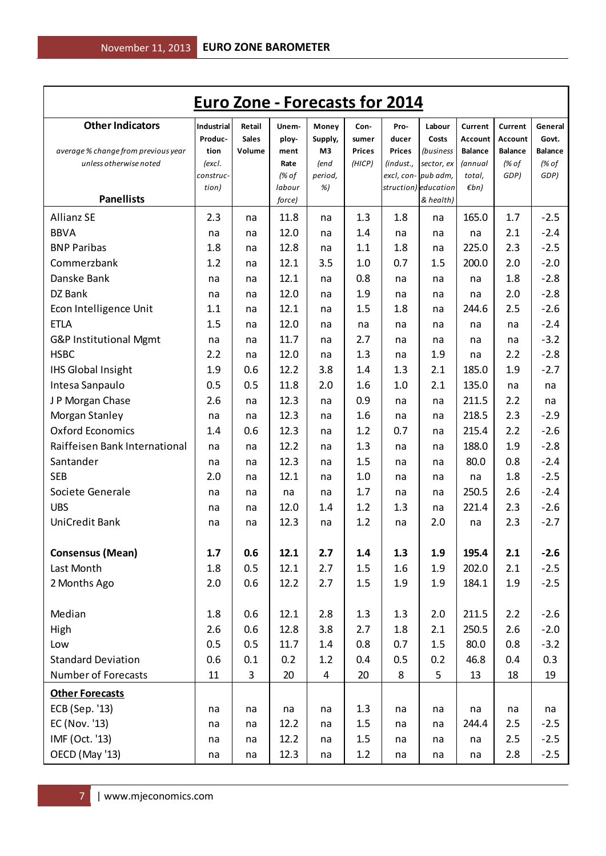| <b>Euro Zone - Forecasts for 2014</b>                         |                |              |              |                |                         |               |                                          |                           |                                    |                         |
|---------------------------------------------------------------|----------------|--------------|--------------|----------------|-------------------------|---------------|------------------------------------------|---------------------------|------------------------------------|-------------------------|
| <b>Other Indicators</b>                                       | Industrial     | Retail       | Unem-        | Money          | Con-                    | Pro-          | Labour                                   | Current                   | Current                            | General                 |
|                                                               | Produc-        | <b>Sales</b> | ploy-        | Supply,        | sumer                   | ducer         | Costs                                    | Account                   | Account                            | Govt.                   |
| average % change from previous year<br>unless otherwise noted | tion<br>(excl. | Volume       | ment<br>Rate | M3<br>(end     | <b>Prices</b><br>(HICP) | <b>Prices</b> | <i>(business</i><br>(indust., sector, ex | <b>Balance</b><br>(annual | <b>Balance</b><br>$\frac{1}{6}$ of | <b>Balance</b><br>(% of |
|                                                               | construc-      |              | (% of        | period,        |                         |               | excl, con- pub adm,                      | total,                    | GDP)                               | GDP)                    |
|                                                               | tion)          |              | labour       | %)             |                         |               | struction) education                     | $\n  Emb\n$               |                                    |                         |
| <b>Panellists</b>                                             |                |              | force)       |                |                         |               | & health)                                |                           |                                    |                         |
| <b>Allianz SE</b>                                             | 2.3            | na           | 11.8         | na             | 1.3                     | 1.8           | na                                       | 165.0                     | 1.7                                | $-2.5$                  |
| <b>BBVA</b>                                                   | na             | na           | 12.0         | na             | 1.4                     | na            | na                                       | na                        | 2.1                                | $-2.4$                  |
| <b>BNP Paribas</b>                                            | 1.8            | na           | 12.8         | na             | 1.1                     | 1.8           | na                                       | 225.0                     | 2.3                                | $-2.5$                  |
| Commerzbank                                                   | 1.2            | na           | 12.1         | 3.5            | 1.0                     | 0.7           | 1.5                                      | 200.0                     | 2.0                                | $-2.0$                  |
| Danske Bank                                                   | na             | na           | 12.1         | na             | 0.8                     | na            | na                                       | na                        | 1.8                                | $-2.8$                  |
| DZ Bank                                                       | na             | na           | 12.0         | na             | 1.9                     | na            | na                                       | na                        | 2.0                                | $-2.8$                  |
| Econ Intelligence Unit                                        | 1.1            | na           | 12.1         | na             | 1.5                     | 1.8           | na                                       | 244.6                     | 2.5                                | $-2.6$                  |
| <b>ETLA</b>                                                   | 1.5            | na           | 12.0         | na             | na                      | na            | na                                       | na                        | na                                 | $-2.4$                  |
| G&P Institutional Mgmt                                        | na             | na           | 11.7         | na             | 2.7                     | na            | na                                       | na                        | na                                 | $-3.2$                  |
| <b>HSBC</b>                                                   | 2.2            | na           | 12.0         | na             | 1.3                     | na            | 1.9                                      | na                        | 2.2                                | $-2.8$                  |
| <b>IHS Global Insight</b>                                     | 1.9            | 0.6          | 12.2         | 3.8            | 1.4                     | 1.3           | 2.1                                      | 185.0                     | 1.9                                | $-2.7$                  |
| Intesa Sanpaulo                                               | 0.5            | 0.5          | 11.8         | 2.0            | 1.6                     | 1.0           | 2.1                                      | 135.0                     | na                                 | na                      |
| J P Morgan Chase                                              | 2.6            | na           | 12.3         | na             | 0.9                     | na            | na                                       | 211.5                     | 2.2                                | na                      |
| Morgan Stanley                                                | na             | na           | 12.3         | na             | 1.6                     | na            | na                                       | 218.5                     | 2.3                                | $-2.9$                  |
| <b>Oxford Economics</b>                                       | 1.4            | 0.6          | 12.3         | na             | 1.2                     | 0.7           | na                                       | 215.4                     | 2.2                                | $-2.6$                  |
| Raiffeisen Bank International                                 | na             | na           | 12.2         | na             | 1.3                     | na            | na                                       | 188.0                     | 1.9                                | $-2.8$                  |
| Santander                                                     | na             | na           | 12.3         | na             | 1.5                     | na            | na                                       | 80.0                      | 0.8                                | $-2.4$                  |
| <b>SEB</b>                                                    | 2.0            | na           | 12.1         | na             | 1.0                     | na            | na                                       | na                        | 1.8                                | $-2.5$                  |
| Societe Generale                                              | na             | na           | na           | na             | 1.7                     | na            | na                                       | 250.5                     | 2.6                                | $-2.4$                  |
| <b>UBS</b>                                                    | na             | na           | 12.0         | 1.4            | 1.2                     | 1.3           | na                                       | 221.4                     | 2.3                                | $-2.6$                  |
| <b>UniCredit Bank</b>                                         | na             | na           | 12.3         | na             | 1.2                     | na            | 2.0                                      | na                        | 2.3                                | $-2.7$                  |
| <b>Consensus (Mean)</b>                                       | 1.7            | 0.6          | 12.1         | 2.7            | 1.4                     | 1.3           | 1.9                                      | 195.4                     | 2.1                                | $-2.6$                  |
| Last Month                                                    | 1.8            | 0.5          | 12.1         | 2.7            | $1.5\,$                 | 1.6           | 1.9                                      | 202.0                     | 2.1                                | $-2.5$                  |
| 2 Months Ago                                                  | 2.0            | 0.6          | 12.2         | 2.7            | 1.5                     | 1.9           | 1.9                                      | 184.1                     | 1.9                                | $-2.5$                  |
| Median                                                        | 1.8            | 0.6          | 12.1         | 2.8            | 1.3                     | 1.3           | 2.0                                      |                           | 2.2                                | $-2.6$                  |
|                                                               |                | 0.6          |              |                |                         |               |                                          | 211.5                     |                                    |                         |
| High                                                          | 2.6            |              | 12.8         | 3.8            | 2.7                     | 1.8           | 2.1                                      | 250.5                     | 2.6                                | $-2.0$                  |
| Low                                                           | 0.5            | 0.5          | 11.7         | 1.4            | 0.8                     | 0.7           | 1.5                                      | 80.0                      | 0.8                                | $-3.2$                  |
| <b>Standard Deviation</b>                                     | 0.6            | 0.1          | 0.2          | 1.2            | 0.4                     | 0.5           | 0.2                                      | 46.8                      | 0.4                                | 0.3                     |
| Number of Forecasts                                           | 11             | $\mathsf{3}$ | 20           | $\overline{4}$ | 20                      | 8             | 5                                        | 13                        | 18                                 | 19                      |
| <b>Other Forecasts</b>                                        |                |              |              |                |                         |               |                                          |                           |                                    |                         |
| ECB (Sep. '13)                                                | na             | na           | na           | na             | 1.3                     | na            | na                                       | na                        | na                                 | na                      |
| EC (Nov. '13)                                                 | na             | na           | 12.2         | na             | $1.5\,$                 | na            | na                                       | 244.4                     | 2.5                                | $-2.5$                  |
| IMF (Oct. '13)                                                | na             | na           | 12.2         | na             | 1.5                     | na            | na                                       | na                        | 2.5                                | $-2.5$                  |
| OECD (May '13)                                                | na             | na           | 12.3         | na             | 1.2                     | na            | na                                       | na                        | 2.8                                | $-2.5$                  |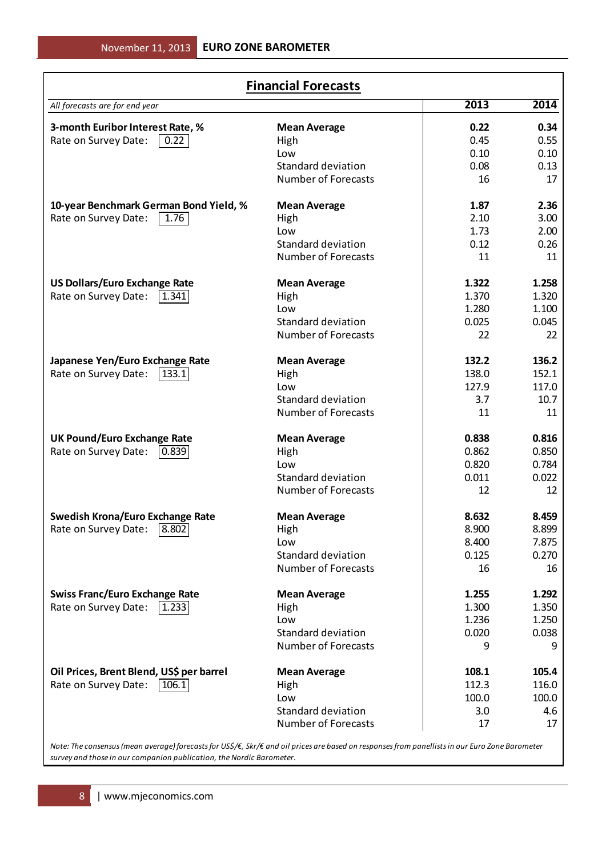| <b>Financial Forecasts</b>               |                            |       |       |  |  |  |  |  |
|------------------------------------------|----------------------------|-------|-------|--|--|--|--|--|
| All forecasts are for end year           |                            | 2013  | 2014  |  |  |  |  |  |
| 3-month Euribor Interest Rate, %         | <b>Mean Average</b>        | 0.22  | 0.34  |  |  |  |  |  |
| Rate on Survey Date:<br>0.22             | High                       | 0.45  | 0.55  |  |  |  |  |  |
|                                          | Low                        | 0.10  | 0.10  |  |  |  |  |  |
|                                          | Standard deviation         | 0.08  | 0.13  |  |  |  |  |  |
|                                          | <b>Number of Forecasts</b> | 16    | 17    |  |  |  |  |  |
| 10-year Benchmark German Bond Yield, %   | <b>Mean Average</b>        | 1.87  | 2.36  |  |  |  |  |  |
| Rate on Survey Date:<br>1.76             | High                       | 2.10  | 3.00  |  |  |  |  |  |
|                                          | Low                        | 1.73  | 2.00  |  |  |  |  |  |
|                                          | Standard deviation         | 0.12  | 0.26  |  |  |  |  |  |
|                                          | <b>Number of Forecasts</b> | 11    | 11    |  |  |  |  |  |
| <b>US Dollars/Euro Exchange Rate</b>     | <b>Mean Average</b>        | 1.322 | 1.258 |  |  |  |  |  |
| Rate on Survey Date:<br>1.341            | High                       | 1.370 | 1.320 |  |  |  |  |  |
|                                          | Low                        | 1.280 | 1.100 |  |  |  |  |  |
|                                          | Standard deviation         | 0.025 | 0.045 |  |  |  |  |  |
|                                          | <b>Number of Forecasts</b> | 22    | 22    |  |  |  |  |  |
| Japanese Yen/Euro Exchange Rate          | <b>Mean Average</b>        | 132.2 | 136.2 |  |  |  |  |  |
| Rate on Survey Date:<br>133.1            | High                       | 138.0 | 152.1 |  |  |  |  |  |
|                                          | Low                        | 127.9 | 117.0 |  |  |  |  |  |
|                                          | Standard deviation         | 3.7   | 10.7  |  |  |  |  |  |
|                                          | <b>Number of Forecasts</b> | 11    | 11    |  |  |  |  |  |
| <b>UK Pound/Euro Exchange Rate</b>       | <b>Mean Average</b>        | 0.838 | 0.816 |  |  |  |  |  |
| Rate on Survey Date:<br>0.839            | High                       | 0.862 | 0.850 |  |  |  |  |  |
|                                          | Low                        | 0.820 | 0.784 |  |  |  |  |  |
|                                          | Standard deviation         | 0.011 | 0.022 |  |  |  |  |  |
|                                          | <b>Number of Forecasts</b> | 12    | 12    |  |  |  |  |  |
| <b>Swedish Krona/Euro Exchange Rate</b>  | <b>Mean Average</b>        | 8.632 | 8.459 |  |  |  |  |  |
| Rate on Survey Date: [8.802]             | High                       | 8.900 | 8.899 |  |  |  |  |  |
|                                          | Low                        | 8.400 | 7.875 |  |  |  |  |  |
|                                          | Standard deviation         | 0.125 | 0.270 |  |  |  |  |  |
|                                          | <b>Number of Forecasts</b> | 16    | 16    |  |  |  |  |  |
| <b>Swiss Franc/Euro Exchange Rate</b>    | <b>Mean Average</b>        | 1.255 | 1.292 |  |  |  |  |  |
| Rate on Survey Date:<br>1.233            | High                       | 1.300 | 1.350 |  |  |  |  |  |
|                                          | Low                        | 1.236 | 1.250 |  |  |  |  |  |
|                                          | Standard deviation         | 0.020 | 0.038 |  |  |  |  |  |
|                                          | <b>Number of Forecasts</b> | 9     | 9     |  |  |  |  |  |
| Oil Prices, Brent Blend, US\$ per barrel | <b>Mean Average</b>        | 108.1 | 105.4 |  |  |  |  |  |
| Rate on Survey Date:<br>106.1            | High                       | 112.3 | 116.0 |  |  |  |  |  |
|                                          | Low                        | 100.0 | 100.0 |  |  |  |  |  |
|                                          | Standard deviation         | 3.0   | 4.6   |  |  |  |  |  |
|                                          | <b>Number of Forecasts</b> | 17    | 17    |  |  |  |  |  |
|                                          |                            |       |       |  |  |  |  |  |

*Note: The consensus (mean average) forecasts for US\$/€, Skr/€ and oil prices are based on responses from panellists in our Euro Zone Barometer survey and those in our companion publication, the Nordic Barometer.*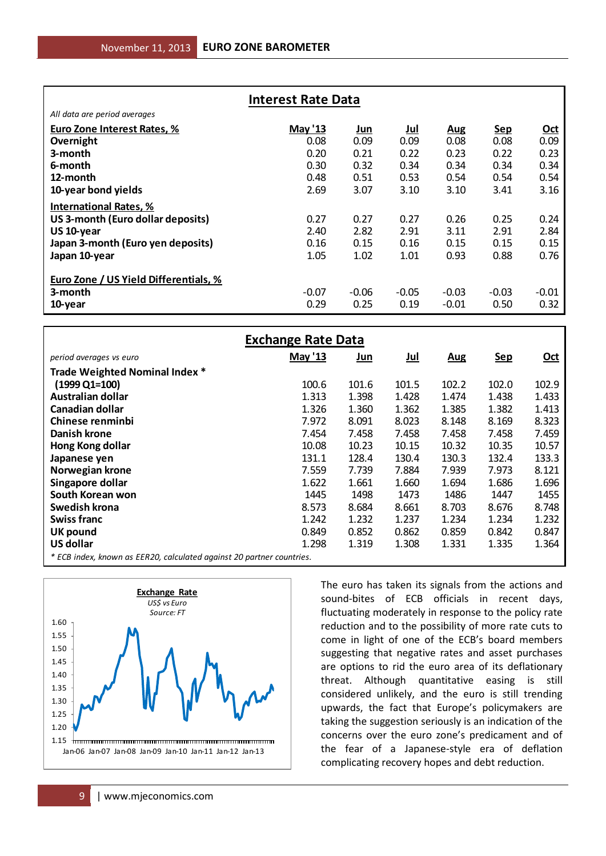| <b>Interest Rate Data</b>             |         |         |            |            |            |            |  |  |
|---------------------------------------|---------|---------|------------|------------|------------|------------|--|--|
| All data are period averages          |         |         |            |            |            |            |  |  |
| Euro Zone Interest Rates, %           | May '13 | Jun     | <u>Jul</u> | <u>Aug</u> | <b>Sep</b> | <u>Oct</u> |  |  |
| Overnight                             | 0.08    | 0.09    | 0.09       | 0.08       | 0.08       | 0.09       |  |  |
| 3-month                               | 0.20    | 0.21    | 0.22       | 0.23       | 0.22       | 0.23       |  |  |
| 6-month                               | 0.30    | 0.32    | 0.34       | 0.34       | 0.34       | 0.34       |  |  |
| 12-month                              | 0.48    | 0.51    | 0.53       | 0.54       | 0.54       | 0.54       |  |  |
| 10-year bond yields                   | 2.69    | 3.07    | 3.10       | 3.10       | 3.41       | 3.16       |  |  |
| <b>International Rates, %</b>         |         |         |            |            |            |            |  |  |
| US 3-month (Euro dollar deposits)     | 0.27    | 0.27    | 0.27       | 0.26       | 0.25       | 0.24       |  |  |
| US 10-year                            | 2.40    | 2.82    | 2.91       | 3.11       | 2.91       | 2.84       |  |  |
| Japan 3-month (Euro yen deposits)     | 0.16    | 0.15    | 0.16       | 0.15       | 0.15       | 0.15       |  |  |
| Japan 10-year                         | 1.05    | 1.02    | 1.01       | 0.93       | 0.88       | 0.76       |  |  |
|                                       |         |         |            |            |            |            |  |  |
| Euro Zone / US Yield Differentials, % |         |         |            |            |            |            |  |  |
| 3-month                               | $-0.07$ | $-0.06$ | $-0.05$    | $-0.03$    | $-0.03$    | $-0.01$    |  |  |
| 10-year                               | 0.29    | 0.25    | 0.19       | $-0.01$    | 0.50       | 0.32       |  |  |

| All data are period averages                                          |                           |                                                         |            |              |            |             |
|-----------------------------------------------------------------------|---------------------------|---------------------------------------------------------|------------|--------------|------------|-------------|
| <b>Euro Zone Interest Rates, %</b>                                    | May '13                   | <u>Jun</u>                                              | <u>Jul</u> | <b>Aug</b>   | <b>Sep</b> | <u>Oct</u>  |
| Overnight                                                             | 0.08                      | 0.09                                                    | 0.09       | 0.08         | 0.08       | 0.09        |
| 3-month                                                               | 0.20                      | 0.21                                                    | 0.22       | 0.23         | 0.22       | 0.23        |
| 6-month                                                               | 0.30                      | 0.32                                                    | 0.34       | 0.34         | 0.34       | 0.34        |
| 12-month                                                              | 0.48                      | 0.51                                                    | 0.53       | 0.54         | 0.54       | 0.54        |
| 10-year bond yields                                                   | 2.69                      | 3.07                                                    | 3.10       | 3.10         | 3.41       | 3.16        |
|                                                                       |                           |                                                         |            |              |            |             |
| <b>International Rates, %</b>                                         |                           |                                                         |            |              |            |             |
| US 3-month (Euro dollar deposits)                                     | 0.27                      | 0.27                                                    | 0.27       | 0.26         | 0.25       | 0.24        |
| US 10-year                                                            | 2.40                      | 2.82                                                    | 2.91       | 3.11         | 2.91       | 2.84        |
| Japan 3-month (Euro yen deposits)                                     | 0.16                      | 0.15                                                    | 0.16       | 0.15         | 0.15       | 0.15        |
| Japan 10-year                                                         | 1.05                      | 1.02                                                    | 1.01       | 0.93         | 0.88       | 0.76        |
|                                                                       |                           |                                                         |            |              |            |             |
| Euro Zone / US Yield Differentials, %                                 |                           |                                                         |            |              |            |             |
| 3-month                                                               | $-0.07$                   | $-0.06$                                                 | $-0.05$    | $-0.03$      | $-0.03$    | $-0.01$     |
| 10-year                                                               | 0.29                      | 0.25                                                    | 0.19       | $-0.01$      | 0.50       | 0.32        |
|                                                                       |                           |                                                         |            |              |            |             |
|                                                                       |                           |                                                         |            |              |            |             |
|                                                                       | <b>Exchange Rate Data</b> |                                                         |            |              |            |             |
| period averages vs euro                                               | May '13                   | <u>Jun</u>                                              | <u>Jul</u> | <b>Aug</b>   | <u>Sep</u> | <u>Oct</u>  |
| Trade Weighted Nominal Index *                                        |                           |                                                         |            |              |            |             |
| $(1999 \text{ Q1} = 100)$                                             | 100.6                     | 101.6                                                   | 101.5      | 102.2        | 102.0      | 102.9       |
| Australian dollar                                                     | 1.313                     | 1.398                                                   | 1.428      | 1.474        | 1.438      | 1.433       |
| Canadian dollar                                                       | 1.326                     | 1.360                                                   | 1.362      | 1.385        | 1.382      | 1.413       |
| Chinese renminbi                                                      | 7.972                     | 8.091                                                   | 8.023      | 8.148        | 8.169      | 8.323       |
| <b>Danish krone</b>                                                   | 7.454                     | 7.458                                                   | 7.458      | 7.458        | 7.458      | 7.459       |
|                                                                       |                           |                                                         |            |              |            |             |
| Hong Kong dollar                                                      | 10.08                     | 10.23                                                   | 10.15      | 10.32        | 10.35      | 10.57       |
| Japanese yen                                                          | 131.1                     | 128.4                                                   | 130.4      | 130.3        | 132.4      | 133.3       |
| Norwegian krone                                                       | 7.559                     | 7.739                                                   | 7.884      | 7.939        | 7.973      | 8.121       |
| Singapore dollar                                                      | 1.622                     | 1.661                                                   | 1.660      | 1.694        | 1.686      | 1.696       |
| South Korean won                                                      | 1445                      | 1498                                                    | 1473       | 1486         | 1447       | 1455        |
| Swedish krona                                                         | 8.573                     | 8.684                                                   | 8.661      | 8.703        | 8.676      | 8.748       |
| <b>Swiss franc</b>                                                    | 1.242                     | 1.232                                                   | 1.237      | 1.234        | 1.234      | 1.232       |
| <b>UK pound</b>                                                       | 0.849                     | 0.852                                                   | 0.862      | 0.859        | 0.842      | 0.847       |
| <b>US dollar</b>                                                      | 1.298                     | 1.319                                                   | 1.308      | 1.331        | 1.335      | 1.364       |
| * ECB index, known as EER20, calculated against 20 partner countries. |                           |                                                         |            |              |            |             |
|                                                                       |                           |                                                         |            |              |            |             |
|                                                                       |                           | The euro has taken its signals from the actions and     |            |              |            |             |
| <b>Exchange Rate</b><br>USS vs Euro                                   |                           | sound-bites of ECB officials in recent days,            |            |              |            |             |
| Source: FT                                                            |                           | fluctuating moderately in response to the policy rate   |            |              |            |             |
| 1.60                                                                  |                           | reduction and to the possibility of more rate cuts to   |            |              |            |             |
| 1.55                                                                  |                           |                                                         |            |              |            |             |
| 1.50                                                                  |                           | come in light of one of the ECB's board members         |            |              |            |             |
| 1.45                                                                  |                           | suggesting that negative rates and asset purchases      |            |              |            |             |
|                                                                       |                           | are options to rid the euro area of its deflationary    |            |              |            |             |
| 1.40                                                                  |                           | threat.                                                 | Although   | quantitative | easing     | still<br>is |
| 1.35                                                                  |                           | considered unlikely, and the euro is still trending     |            |              |            |             |
| 1.30                                                                  |                           | upwards, the fact that Europe's policymakers are        |            |              |            |             |
| 1.25                                                                  |                           |                                                         |            |              |            |             |
| 1.20                                                                  |                           | taking the suggestion seriously is an indication of the |            |              |            |             |
| 1.15                                                                  |                           | concerns over the euro zone's predicament and of        |            |              |            |             |
| Jan-06 Jan-07 Jan-08 Jan-09 Jan-10 Jan-11 Jan-12 Jan-13               |                           | the fear of a Japanese-style era of deflation           |            |              |            |             |
|                                                                       |                           | complicating recovery hopes and debt reduction.         |            |              |            |             |
|                                                                       |                           |                                                         |            |              |            |             |
|                                                                       |                           |                                                         |            |              |            |             |
| www.mjeconomics.com<br>9                                              |                           |                                                         |            |              |            |             |

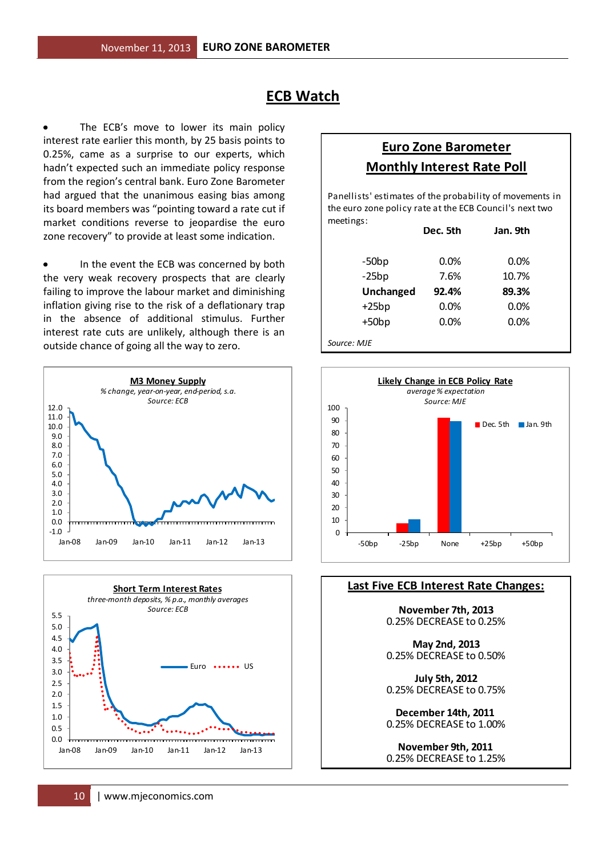### **ECB Watch**

The ECB's move to lower its main policy interest rate earlier this month, by 25 basis points to 0.25%, came as a surprise to our experts, which hadn't expected such an immediate policy response from the region's central bank. Euro Zone Barometer had argued that the unanimous easing bias among its board members was "pointing toward a rate cut if market conditions reverse to jeopardise the euro zone recovery" to provide at least some indication.

In the event the ECB was concerned by both the very weak recovery prospects that are clearly failing to improve the labour market and diminishing inflation giving rise to the risk of a deflationary trap in the absence of additional stimulus. Further interest rate cuts are unlikely, although there is an outside chance of going all the way to zero.





### **Euro Zone Barometer Monthly Interest Rate Poll**

meetings: Panellists' estimates of the probability of movements in the euro zone policy rate at the ECB Council's next two

|             | Dec. 5th | Jan. 9th |
|-------------|----------|----------|
| $-50bp$     | 0.0%     | 0.0%     |
| $-25bp$     | 7.6%     | 10.7%    |
| Unchanged   | 92.4%    | 89.3%    |
| $+25bp$     | 0.0%     | 0.0%     |
| $+50bp$     | 0.0%     | 0.0%     |
| Source: MJE |          |          |



### **Last Five ECB Interest Rate Changes:**

**November 7th, 2013** 0.25% DECREASE to 0.25%

**May 2nd, 2013** 0.25% DECREASE to 0.50%

0.25% DECREASE to 0.75% **July 5th, 2012**

**December 14th, 2011**  0.25% DECREASE to 1.00%

**November 9th, 2011**  0.25% DECREASE to 1.25%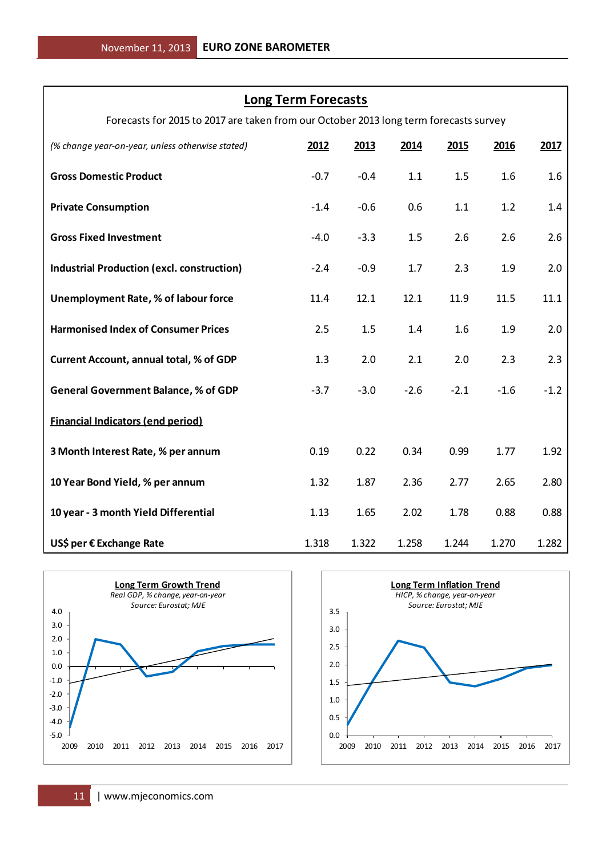### **Long Term Forecasts**

Forecasts for 2015 to 2017 are taken from our October 2013 long term forecasts survey

| (% change year-on-year, unless otherwise stated)                                                                                                                                                                                                        | 2012                                                 | 2013         | 2014         | 2015                                                                                                      | 2016   | 2017         |
|---------------------------------------------------------------------------------------------------------------------------------------------------------------------------------------------------------------------------------------------------------|------------------------------------------------------|--------------|--------------|-----------------------------------------------------------------------------------------------------------|--------|--------------|
| <b>Gross Domestic Product</b>                                                                                                                                                                                                                           | $-0.7$                                               | $-0.4$       | 1.1          | 1.5                                                                                                       | 1.6    | 1.6          |
| <b>Private Consumption</b>                                                                                                                                                                                                                              | $-1.4$                                               | $-0.6$       | 0.6          | 1.1                                                                                                       | 1.2    | 1.4          |
| <b>Gross Fixed Investment</b>                                                                                                                                                                                                                           | $-4.0$                                               | $-3.3$       | 1.5          | 2.6                                                                                                       | 2.6    | 2.6          |
| <b>Industrial Production (excl. construction)</b>                                                                                                                                                                                                       | $-2.4$                                               | $-0.9$       | 1.7          | 2.3                                                                                                       | 1.9    | 2.0          |
| <b>Unemployment Rate, % of labour force</b>                                                                                                                                                                                                             | 11.4                                                 | 12.1         | 12.1         | 11.9                                                                                                      | 11.5   | 11.1         |
| <b>Harmonised Index of Consumer Prices</b>                                                                                                                                                                                                              | 2.5                                                  | 1.5          | 1.4          | 1.6                                                                                                       | 1.9    | 2.0          |
| <b>Current Account, annual total, % of GDP</b>                                                                                                                                                                                                          | 1.3                                                  | 2.0          | 2.1          | 2.0                                                                                                       | 2.3    | 2.3          |
| <b>General Government Balance, % of GDP</b>                                                                                                                                                                                                             | $-3.7$                                               | $-3.0$       | $-2.6$       | $-2.1$                                                                                                    | $-1.6$ | $-1.2$       |
| <b>Financial Indicators (end period)</b>                                                                                                                                                                                                                |                                                      |              |              |                                                                                                           |        |              |
| 3 Month Interest Rate, % per annum                                                                                                                                                                                                                      | 0.19                                                 | 0.22         | 0.34         | 0.99                                                                                                      | 1.77   | 1.92         |
| 10 Year Bond Yield, % per annum                                                                                                                                                                                                                         | 1.32                                                 | 1.87         | 2.36         | 2.77                                                                                                      | 2.65   | 2.80         |
| 10 year - 3 month Yield Differential                                                                                                                                                                                                                    | 1.13                                                 | 1.65         | 2.02         | 1.78                                                                                                      | 0.88   | 0.88         |
| US\$ per € Exchange Rate                                                                                                                                                                                                                                | 1.318                                                | 1.322        | 1.258        | 1.244                                                                                                     | 1.270  | 1.282        |
| <b>Long Term Growth Trend</b><br>Real GDP, % change, year-on-year<br>Source: Eurostat; MJE<br>4.0<br>3.0<br>2.0<br>1.0<br>0.0<br>$-1.0$<br>$-2.0$<br>$-3.0$<br>$-4.0$<br>$-5.0$<br>2009<br>2010<br>2011<br>2012<br>2013<br>2014<br>2015<br>2016<br>2017 | 3.5<br>3.0<br>2.5<br>2.0<br>1.5<br>1.0<br>0.5<br>0.0 | 2009<br>2010 | 2011<br>2012 | <b>Long Term Inflation Trend</b><br>HICP, % change, year-on-year<br>Source: Eurostat; MJE<br>2013<br>2014 | 2015   | 2016<br>2017 |
| www.mjeconomics.com<br>11                                                                                                                                                                                                                               |                                                      |              |              |                                                                                                           |        |              |



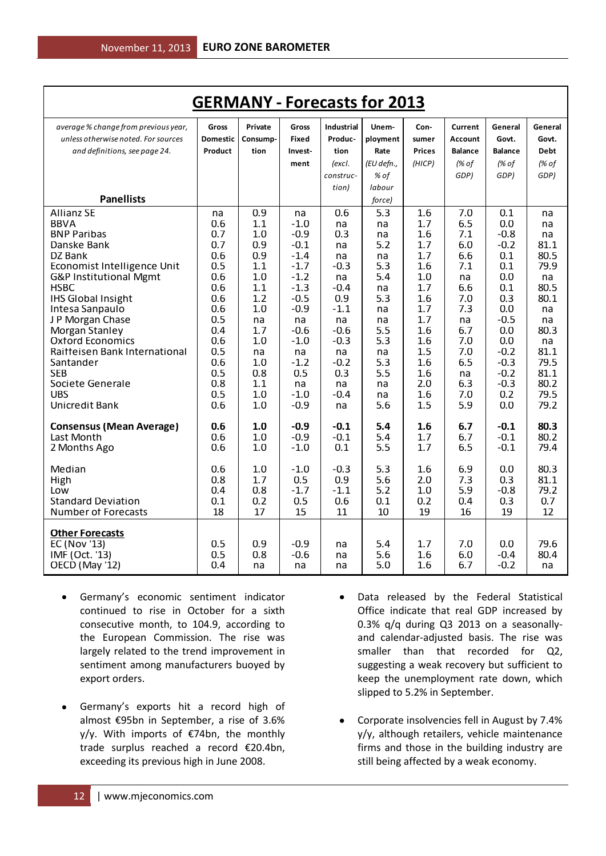| <b>GERMANY - Forecasts for 2013</b>                                        |                   |                  |                        |                              |                              |                   |                   |                         |                    |
|----------------------------------------------------------------------------|-------------------|------------------|------------------------|------------------------------|------------------------------|-------------------|-------------------|-------------------------|--------------------|
| average % change from previous year,                                       | Gross             | Private          | Gross                  | <b>Industrial</b>            | Unem-                        | Con-              | Current           | General                 | General            |
| unless otherwise noted. For sources                                        | Domestic          | Consump-         | Fixed                  | Produc-                      | ployment                     | sumer             | Account           | Govt.                   | Govt.              |
| and definitions, see page 24.                                              | Product           | tion             | Invest-                | tion                         | Rate                         | <b>Prices</b>     | <b>Balance</b>    | <b>Balance</b>          | <b>Debt</b>        |
|                                                                            |                   |                  | ment                   | (excl.<br>construc-<br>tion) | (EU defn.,<br>% of<br>labour | (HICP)            | (% of<br>GDP)     | (% of<br>GDP)           | (% of<br>GDP)      |
| <b>Panellists</b>                                                          |                   |                  |                        |                              | force)                       |                   |                   |                         |                    |
| <b>Allianz SE</b>                                                          | na                | 0.9              | na                     | 0.6                          | 5.3                          | 1.6               | 7.0               | 0.1                     | na                 |
| <b>BBVA</b>                                                                | 0.6               | 1.1              | $-1.0$                 | na                           | na                           | 1.7               | 6.5               | 0.0                     | na                 |
| <b>BNP Paribas</b>                                                         | 0.7               | 1.0              | $-0.9$                 | 0.3                          | na                           | 1.6               | 7.1               | $-0.8$                  | na                 |
| Danske Bank                                                                | 0.7               | 0.9              | $-0.1$                 | na                           | 5.2                          | 1.7               | 6.0               | $-0.2$                  | 81.1               |
| DZ Bank                                                                    | 0.6               | 0.9              | $-1.4$                 | na                           | na                           | 1.7               | 6.6               | 0.1                     | 80.5               |
| Economist Intelligence Unit                                                | 0.5               | 1.1              | $-1.7$                 | $-0.3$                       | 5.3                          | 1.6               | 7.1               | 0.1                     | 79.9               |
| G&P Institutional Mgmt                                                     | 0.6               | 1.0              | $-1.2$                 | na                           | 5.4                          | 1.0               | na                | 0.0                     | na                 |
| <b>HSBC</b>                                                                | 0.6               | 1.1              | $-1.3$                 | $-0.4$                       | na                           | 1.7               | 6.6               | 0.1                     | 80.5               |
| <b>IHS Global Insight</b>                                                  | 0.6               | 1.2              | $-0.5$                 | 0.9                          | 5.3                          | 1.6               | 7.0               | 0.3                     | 80.1               |
| Intesa Sanpaulo                                                            | 0.6               | 1.0              | $-0.9$                 | $-1.1$                       | na                           | 1.7               | 7.3               | 0.0                     | na                 |
| J P Morgan Chase                                                           | 0.5               | na               | na                     | na                           | na                           | 1.7               | na                | $-0.5$                  | na                 |
| Morgan Stanley                                                             | 0.4               | 1.7              | $-0.6$                 | $-0.6$                       | 5.5                          | 1.6               | 6.7               | 0.0                     | 80.3               |
| <b>Oxford Economics</b>                                                    | 0.6               | 1.0              | $-1.0$                 | $-0.3$                       | 5.3                          | 1.6               | 7.0               | 0.0                     | na                 |
| Raitteisen Bank International                                              | 0.5               | na               | na                     | na                           | na                           | 1.5               | 7.0               | $-0.2$                  | 81.1               |
| Santander                                                                  | 0.6               | 1.0              | $-1.2$                 | $-0.2$                       | 5.3                          | 1.6               | 6.5               | $-0.3$                  | 79.5               |
| <b>SEB</b>                                                                 | 0.5               | 0.8              | 0.5                    | 0.3                          | 5.5                          | 1.6               | na                | $-0.2$                  | 81.1               |
| Societe Generale                                                           | 0.8               | 1.1              | na                     | na                           | na                           | 2.0               | 6.3               | $-0.3$                  | 80.2               |
| <b>UBS</b>                                                                 | 0.5               | 1.0              | $-1.0$                 | $-0.4$                       | na                           | 1.6               | 7.0               | 0.2                     | 79.5               |
| Unicredit Bank                                                             | 0.6               | 1.0              | $-0.9$                 | na                           | 5.6                          | 1.5               | 5.9               | 0.0                     | 79.2               |
| <b>Consensus (Mean Average)</b>                                            | 0.6               | 1.0              | $-0.9$                 | $-0.1$                       | 5.4                          | 1.6               | 6.7               | $-0.1$                  | 80.3               |
| Last Month                                                                 | 0.6               | 1.0              | $-0.9$                 | $-0.1$                       | 5.4                          | 1.7               | 6.7               | $-0.1$                  | 80.2               |
| 2 Months Ago                                                               | 0.6               | 1.0              | $-1.0$                 | 0.1                          | 5.5                          | 1.7               | 6.5               | $-0.1$                  | 79.4               |
| Median                                                                     | 0.6               | 1.0              | $-1.0$                 | $-0.3$                       | 5.3                          | 1.6               | 6.9               | 0.0                     | 80.3               |
| High                                                                       | 0.8               | 1.7              | 0.5                    | 0.9                          | 5.6                          | 2.0               | 7.3               | 0.3                     | 81.1               |
| Low                                                                        | 0.4               | 0.8              | $-1.7$                 | $-1.1$                       | 5.2                          | 1.0               | 5.9               | $-0.8$                  | 79.2               |
| <b>Standard Deviation</b>                                                  | 0.1               | 0.2              | 0.5                    | 0.6                          | 0.1                          | 0.2               | 0.4               | 0.3                     | 0.7                |
| <b>Number of Forecasts</b>                                                 | 18                | 17               | 15                     | 11                           | 10                           | 19                | 16                | 19                      | 12                 |
| <b>Other Forecasts</b><br>EC (Nov '13)<br>IMF (Oct. '13)<br>OECD (May '12) | 0.5<br>0.5<br>0.4 | 0.9<br>0.8<br>na | $-0.9$<br>$-0.6$<br>na | na<br>na<br>na               | 5.4<br>5.6<br>5.0            | 1.7<br>1.6<br>1.6 | 7.0<br>6.0<br>6.7 | 0.0<br>$-0.4$<br>$-0.2$ | 79.6<br>80.4<br>na |

- Germany's economic sentiment indicator continued to rise in October for a sixth consecutive month, to 104.9, according to the European Commission. The rise was largely related to the trend improvement in sentiment among manufacturers buoyed by export orders.
- Germany's exports hit a record high of almost €95bn in September, a rise of 3.6% y/y. With imports of €74bn, the monthly trade surplus reached a record €20.4bn, exceeding its previous high in June 2008.
- Data released by the Federal Statistical Office indicate that real GDP increased by 0.3% q/q during Q3 2013 on a seasonallyand calendar-adjusted basis. The rise was smaller than that recorded for Q2, suggesting a weak recovery but sufficient to keep the unemployment rate down, which slipped to 5.2% in September.
- Corporate insolvencies fell in August by 7.4% y/y, although retailers, vehicle maintenance firms and those in the building industry are still being affected by a weak economy.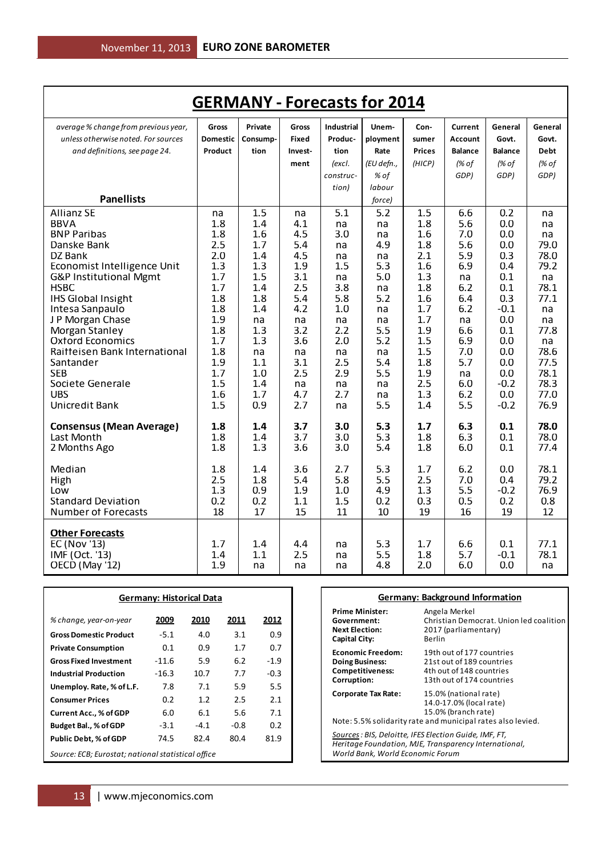| <b>GERMANY - Forecasts for 2014</b>           |                 |            |            |                   |            |               |                |                |             |
|-----------------------------------------------|-----------------|------------|------------|-------------------|------------|---------------|----------------|----------------|-------------|
| average % change from previous year,          | Gross           | Private    | Gross      | <b>Industrial</b> | Unem-      | Con-          | Current        | General        | General     |
| unless otherwise noted. For sources           | <b>Domestic</b> | Consump-   | Fixed      | Produc-           | ployment   | sumer         | <b>Account</b> | Govt.          | Govt.       |
| and definitions, see page 24.                 | Product         | tion       | Invest-    | tion              | Rate       | <b>Prices</b> | <b>Balance</b> | <b>Balance</b> | <b>Debt</b> |
|                                               |                 |            | ment       | (excl.            | (EU defn., | (HICP)        | (% of          | (% of          | (% of       |
|                                               |                 |            |            | construc-         | % of       |               | GDP)           | GDP)           | GDP)        |
|                                               |                 |            |            | tion)             | labour     |               |                |                |             |
| <b>Panellists</b>                             |                 |            |            |                   | force)     |               |                |                |             |
| <b>Allianz SE</b>                             | na              | 1.5        | na         | 5.1               | 5.2        | 1.5           | 6.6            | 0.2            | na          |
| <b>BBVA</b>                                   | 1.8             | 1.4        | 4.1        | na                | na         | 1.8           | 5.6            | 0.0            | na          |
| <b>BNP Paribas</b>                            | 1.8             | 1.6        | 4.5        | 3.0               | na         | 1.6           | 7.0            | 0.0            | na          |
| Danske Bank                                   | 2.5             | 1.7        | 5.4        | na                | 4.9        | 1.8           | 5.6            | 0.0            | 79.0        |
| DZ Bank                                       | 2.0             | 1.4        | 4.5        | na                | na         | 2.1           | 5.9            | 0.3            | 78.0        |
| Economist Intelligence Unit                   | $1.3\,$         | 1.3        | 1.9        | 1.5               | 5.3        | 1.6           | 6.9            | 0.4            | 79.2        |
| G&P Institutional Mgmt                        | 1.7             | 1.5        | 3.1        | na                | 5.0        | 1.3           | na             | 0.1            | na          |
| <b>HSBC</b>                                   | 1.7             | 1.4        | 2.5        | 3.8               | na         | 1.8           | 6.2            | 0.1            | 78.1        |
| <b>IHS Global Insight</b>                     | 1.8             | 1.8        | 5.4        | 5.8               | 5.2        | 1.6           | 6.4<br>6.2     | 0.3<br>$-0.1$  | 77.1        |
| Intesa Sanpaulo                               | 1.8<br>1.9      | 1.4        | 4.2        | 1.0               | na         | 1.7<br>1.7    |                | 0.0            | na          |
| J P Morgan Chase<br>Morgan Stanley            | 1.8             | na<br>1.3  | na<br>3.2  | na<br>2.2         | na<br>5.5  | 1.9           | na<br>6.6      | 0.1            | na<br>77.8  |
| <b>Oxford Economics</b>                       | 1.7             | 1.3        | 3.6        | 2.0               | 5.2        | 1.5           | 6.9            | 0.0            | na          |
| Raitteisen Bank International                 | 1.8             | na         | na         | na                | na         | 1.5           | 7.0            | 0.0            | 78.6        |
| Santander                                     | 1.9             | 1.1        | 3.1        | 2.5               | 5.4        | 1.8           | 5.7            | 0.0            | 77.5        |
| SEB                                           | 1.7             | 1.0        | 2.5        | 2.9               | 5.5        | 1.9           | na             | 0.0            | 78.1        |
| Societe Generale                              | 1.5             | 1.4        | na         | na                | na         | 2.5           | 6.0            | $-0.2$         | 78.3        |
| <b>UBS</b>                                    | 1.6             | 1.7        | 4.7        | 2.7               | na         | 1.3           | 6.2            | 0.0            | 77.0        |
| Unicredit Bank                                | 1.5             | 0.9        | 2.7        | na                | 5.5        | 1.4           | 5.5            | $-0.2$         | 76.9        |
|                                               |                 |            |            |                   |            |               |                |                | 78.0        |
| <b>Consensus (Mean Average)</b><br>Last Month | 1.8<br>1.8      | 1.4<br>1.4 | 3.7<br>3.7 | 3.0<br>3.0        | 5.3<br>5.3 | 1.7<br>1.8    | 6.3<br>6.3     | 0.1<br>0.1     | 78.0        |
| 2 Months Ago                                  | 1.8             | 1.3        | 3.6        | 3.0               | 5.4        | 1.8           | 6.0            | 0.1            | 77.4        |
|                                               |                 |            |            |                   |            |               |                |                |             |
| Median                                        | 1.8             | 1.4        | 3.6        | 2.7               | 5.3        | 1.7           | 6.2            | 0.0            | 78.1        |
| High                                          | 2.5             | 1.8        | 5.4        | 5.8               | 5.5        | 2.5           | 7.0            | 0.4            | 79.2        |
| Low                                           | 1.3             | 0.9        | 1.9        | 1.0               | 4.9        | 1.3           | 5.5            | $-0.2$         | 76.9        |
| <b>Standard Deviation</b>                     | 0.2             | 0.2        | 1.1        | 1.5               | 0.2        | 0.3           | 0.5            | 0.2            | 0.8         |
| <b>Number of Forecasts</b>                    | 18              | 17         | 15         | 11                | 10         | 19            | 16             | 19             | 12          |
| <b>Other Forecasts</b>                        |                 |            |            |                   |            |               |                |                |             |
| <b>EC (Nov '13)</b>                           | 1.7             | 1.4        | 4.4        | na                | 5.3        | 1.7           | 6.6            | 0.1            | 77.1        |
| IMF (Oct. '13)                                | 1.4             | 1.1        | 2.5        | na                | 5.5        | 1.8           | 5.7            | -0.1           | 78.1        |
| OECD (May '12)                                | 1.9             | na         | na         | na                | 4.8        | 2.0           | 6.0            | 0.0            | na          |

|                                                    |         | <b>Germany: Historical Data</b> |        |        |
|----------------------------------------------------|---------|---------------------------------|--------|--------|
| % change, year-on-year                             | 2009    | 2010                            | 2011   | 2012   |
| <b>Gross Domestic Product</b>                      | $-5.1$  | 4.0                             | 3.1    | 0.9    |
| <b>Private Consumption</b>                         | 0.1     | 0.9                             | 1.7    | 0.7    |
| <b>Gross Fixed Investment</b>                      | $-11.6$ | 5.9                             | 6.2    | $-1.9$ |
| <b>Industrial Production</b>                       | $-16.3$ | 10.7                            | 7.7    | $-0.3$ |
| Unemploy. Rate, % of L.F.                          | 7.8     | 7.1                             | 5.9    | 5.5    |
| <b>Consumer Prices</b>                             | 0.2     | 1.2                             | 2.5    | 2.1    |
| <b>Current Acc., % of GDP</b>                      | 6.0     | 6.1                             | 5.6    | 7.1    |
| Budget Bal., % of GDP                              | $-3.1$  | $-4.1$                          | $-0.8$ | 0.2    |
| <b>Public Debt, % of GDP</b>                       | 74.5    | 82.4                            | 80.4   | 81.9   |
| Source: ECB; Eurostat; national statistical office |         |                                 |        |        |

#### **Germany: Background Information**

| <b>Prime Minister:</b>                                                                     | Angela Merkel                                                                                                                          |
|--------------------------------------------------------------------------------------------|----------------------------------------------------------------------------------------------------------------------------------------|
| Government:                                                                                | Christian Democrat. Union led coalition                                                                                                |
| <b>Next Election:</b>                                                                      | 2017 (parliamentary)                                                                                                                   |
| Capital City:                                                                              | Berlin                                                                                                                                 |
| <b>Economic Freedom:</b>                                                                   | 19th out of 177 countries                                                                                                              |
| <b>Doing Business:</b>                                                                     | 21st out of 189 countries                                                                                                              |
| <b>Competitiveness:</b>                                                                    | 4th out of 148 countries                                                                                                               |
| Corruption:                                                                                | 13th out of 174 countries                                                                                                              |
| <b>Corporate Tax Rate:</b>                                                                 | 15.0% (national rate)<br>14.0-17.0% (local rate)<br>15.0% (branch rate)<br>Note: 5.5% solidarity rate and municipal rates also levied. |
| Sources : BIS, Deloitte, IFES Election Guide, IMF, FT,<br>World Bank, World Economic Forum | Heritage Foundation, MJE, Transparency International,                                                                                  |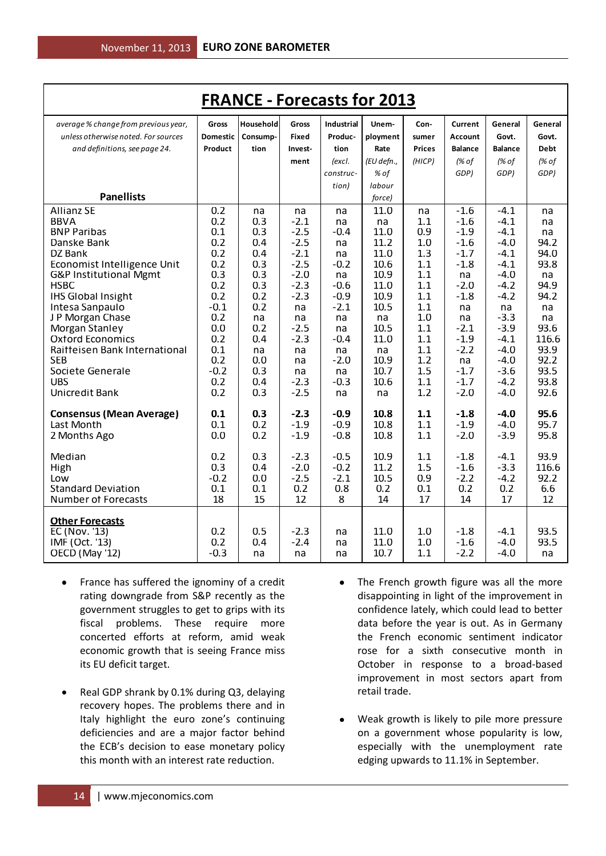| <b>FRANCE - Forecasts for 2013</b>          |                 |            |                  |                   |              |               |                  |                  |              |
|---------------------------------------------|-----------------|------------|------------------|-------------------|--------------|---------------|------------------|------------------|--------------|
| average % change from previous year,        | <b>Gross</b>    | Household  | Gross            | <b>Industrial</b> | Unem-        | Con-          | Current          | General          | General      |
| unless otherwise noted. For sources         | <b>Domestic</b> | Consump-   | <b>Fixed</b>     | Produc-           | ployment     | sumer         | <b>Account</b>   | Govt.            | Govt.        |
| and definitions, see page 24.               | Product         | tion       | Invest-          | tion              | Rate         | <b>Prices</b> | <b>Balance</b>   | <b>Balance</b>   | <b>Debt</b>  |
|                                             |                 |            | ment             | (excl.            | (EU defn.,   | (HICP)        | (% of            | (% of            | (% of        |
|                                             |                 |            |                  | construc-         | % of         |               | GDP)             | GDP)             | GDP)         |
|                                             |                 |            |                  | tion)             | labour       |               |                  |                  |              |
| <b>Panellists</b>                           |                 |            |                  |                   | force)       |               |                  |                  |              |
| <b>Allianz SE</b>                           | 0.2             | na         | na               | na                | 11.0         | na            | $-1.6$           | $-4.1$           | na           |
| <b>BBVA</b>                                 | 0.2             | 0.3        | $-2.1$           | na                | na           | 1.1           | $-1.6$           | $-4.1$           | na           |
| <b>BNP Paribas</b>                          | 0.1             | 0.3        | $-2.5$           | $-0.4$            | 11.0         | 0.9           | $-1.9$           | $-4.1$           | na           |
| Danske Bank                                 | 0.2<br>0.2      | 0.4        | $-2.5$<br>$-2.1$ | na                | 11.2<br>11.0 | 1.0           | $-1.6$           | $-4.0$           | 94.2         |
| DZ Bank<br>Economist Intelligence Unit      | 0.2             | 0.4<br>0.3 | $-2.5$           | na<br>$-0.2$      | 10.6         | 1.3<br>1.1    | $-1.7$<br>$-1.8$ | $-4.1$<br>$-4.1$ | 94.0<br>93.8 |
| G&P Institutional Mgmt                      | 0.3             | 0.3        | $-2.0$           | na                | 10.9         | 1.1           | na               | $-4.0$           | na           |
| <b>HSBC</b>                                 | 0.2             | 0.3        | $-2.3$           | $-0.6$            | 11.0         | 1.1           | $-2.0$           | $-4.2$           | 94.9         |
| <b>IHS Global Insight</b>                   | 0.2             | 0.2        | $-2.3$           | $-0.9$            | 10.9         | 1.1           | $-1.8$           | $-4.2$           | 94.2         |
| Intesa Sanpaulo                             | $-0.1$          | 0.2        | na               | $-2.1$            | 10.5         | 1.1           | na               | na               | na           |
| J P Morgan Chase                            | 0.2             | na         | na               | na                | na           | 1.0           | na               | $-3.3$           | na           |
| Morgan Stanley                              | 0.0             | 0.2        | $-2.5$           | na                | 10.5         | 1.1           | $-2.1$           | $-3.9$           | 93.6         |
| <b>Oxford Economics</b>                     | 0.2             | 0.4        | $-2.3$           | $-0.4$            | 11.0         | 1.1           | $-1.9$           | $-4.1$           | 116.6        |
| Raitteisen Bank International<br><b>SEB</b> | 0.1<br>0.2      | na<br>0.0  | na<br>na         | na<br>$-2.0$      | na<br>10.9   | 1.1<br>1.2    | $-2.2$<br>na     | $-4.0$<br>$-4.0$ | 93.9<br>92.2 |
| Societe Generale                            | $-0.2$          | 0.3        | na               | na                | 10.7         | 1.5           | $-1.7$           | $-3.6$           | 93.5         |
| <b>UBS</b>                                  | 0.2             | 0.4        | $-2.3$           | $-0.3$            | 10.6         | 1.1           | $-1.7$           | $-4.2$           | 93.8         |
| Unicredit Bank                              | 0.2             | 0.3        | $-2.5$           | na                | na           | 1.2           | $-2.0$           | $-4.0$           | 92.6         |
|                                             |                 |            |                  |                   |              |               |                  |                  |              |
| <b>Consensus (Mean Average)</b>             | 0.1             | 0.3        | $-2.3$           | $-0.9$            | 10.8         | 1.1           | $-1.8$           | $-4.0$           | 95.6         |
| Last Month                                  | 0.1             | 0.2        | $-1.9$           | $-0.9$            | 10.8         | 1.1           | $-1.9$           | $-4.0$           | 95.7         |
| 2 Months Ago                                | 0.0             | 0.2        | $-1.9$           | $-0.8$            | 10.8         | 1.1           | $-2.0$           | $-3.9$           | 95.8         |
| Median                                      | 0.2             | 0.3        | $-2.3$           | $-0.5$            | 10.9         | 1.1           | $-1.8$           | $-4.1$           | 93.9         |
| High                                        | 0.3             | 0.4        | $-2.0$           | $-0.2$            | 11.2         | 1.5           | $-1.6$           | $-3.3$           | 116.6        |
| Low                                         | $-0.2$          | 0.0        | $-2.5$           | $-2.1$            | 10.5         | 0.9           | $-2.2$           | $-4.2$           | 92.2         |
| <b>Standard Deviation</b>                   | 0.1             | 0.1        | 0.2              | 0.8               | 0.2          | 0.1           | 0.2              | 0.2              | 6.6          |
| <b>Number of Forecasts</b>                  | 18              | 15         | 12               | 8                 | 14           | 17            | 14               | 17               | 12           |
|                                             |                 |            |                  |                   |              |               |                  |                  |              |
| <b>Other Forecasts</b><br>EC (Nov. '13)     | 0.2             | 0.5        | $-2.3$           | na                | 11.0         | 1.0           | $-1.8$           | $-4.1$           | 93.5         |
| IMF (Oct. '13)                              | 0.2             | 0.4        | $-2.4$           | na                | 11.0         | 1.0           | -1.6             | -4.0             | 93.5         |
| OECD (May '12)                              | $-0.3$          | na         | na               | na                | 10.7         | 1.1           | $-2.2$           | $-4.0$           | na           |
|                                             |                 |            |                  |                   |              |               |                  |                  |              |

- France has suffered the ignominy of a credit  $\bullet$ rating downgrade from S&P recently as the government struggles to get to grips with its fiscal problems. These require more concerted efforts at reform, amid weak economic growth that is seeing France miss its EU deficit target.
- Real GDP shrank by 0.1% during Q3, delaying  $\bullet$ recovery hopes. The problems there and in Italy highlight the euro zone's continuing deficiencies and are a major factor behind the ECB's decision to ease monetary policy this month with an interest rate reduction.
- The French growth figure was all the more disappointing in light of the improvement in confidence lately, which could lead to better data before the year is out. As in Germany the French economic sentiment indicator rose for a sixth consecutive month in October in response to a broad-based improvement in most sectors apart from retail trade.
- Weak growth is likely to pile more pressure on a government whose popularity is low, especially with the unemployment rate edging upwards to 11.1% in September.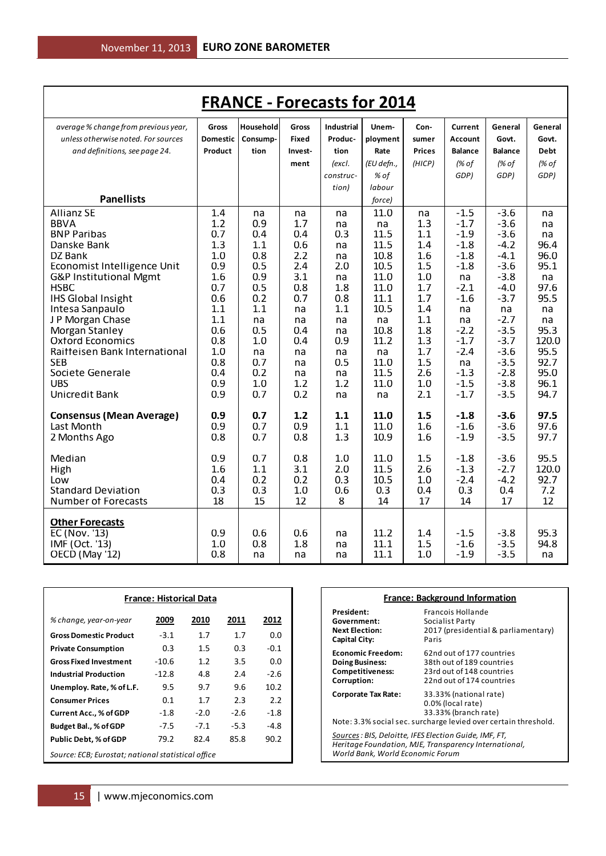| <b>FRANCE - Forecasts for 2014</b>       |            |                  |              |                   |              |               |                  |                  |              |
|------------------------------------------|------------|------------------|--------------|-------------------|--------------|---------------|------------------|------------------|--------------|
| average % change from previous year,     | Gross      | <b>Household</b> | Gross        | <b>Industrial</b> | Unem-        | Con-          | Current          | General          | General      |
| unless otherwise noted. For sources      | Domestic   | Consump-         | <b>Fixed</b> | Produc-           | ployment     | sumer         | <b>Account</b>   | Govt.            | Govt.        |
| and definitions, see page 24.            | Product    | tion             | Invest-      | tion              | Rate         | <b>Prices</b> | <b>Balance</b>   | <b>Balance</b>   | <b>Debt</b>  |
|                                          |            |                  | ment         | (excl.            | (EU defn.,   | (HICP)        | (% of            | (% of            | (% of        |
|                                          |            |                  |              | construc-         | % of         |               | GDP)             | GDP)             | GDP)         |
|                                          |            |                  |              | tion)             | labour       |               |                  |                  |              |
| <b>Panellists</b>                        |            |                  |              |                   | force)       |               |                  |                  |              |
| <b>Allianz SE</b>                        | 1.4        | na               | na           | na                | 11.0         | na            | $-1.5$           | $-3.6$           | na           |
| <b>BBVA</b>                              | 1.2        | 0.9              | 1.7          | na                | na           | 1.3           | $-1.7$           | $-3.6$           | na           |
| <b>BNP Paribas</b>                       | 0.7        | 0.4              | 0.4          | 0.3               | 11.5         | 1.1           | $-1.9$           | $-3.6$           | na           |
| Danske Bank                              | 1.3        | 1.1              | 0.6          | na                | 11.5         | 1.4           | $-1.8$           | $-4.2$           | 96.4         |
| DZ Bank                                  | 1.0        | 0.8              | 2.2          | na                | 10.8         | 1.6           | $-1.8$           | $-4.1$           | 96.0         |
| Economist Intelligence Unit              | 0.9        | 0.5              | 2.4          | 2.0               | 10.5         | 1.5           | $-1.8$           | $-3.6$           | 95.1         |
| G&P Institutional Mgmt                   | 1.6        | 0.9              | 3.1          | na                | 11.0         | 1.0           | na               | $-3.8$           | na           |
| <b>HSBC</b><br><b>IHS Global Insight</b> | 0.7<br>0.6 | 0.5<br>0.2       | 0.8<br>0.7   | 1.8<br>0.8        | 11.0<br>11.1 | 1.7<br>1.7    | $-2.1$<br>$-1.6$ | $-4.0$<br>$-3.7$ | 97.6<br>95.5 |
| Intesa Sanpaulo                          | 1.1        | 1.1              | na           | 1.1               | 10.5         | 1.4           | na               | na               | na           |
| J P Morgan Chase                         | 1.1        | na               | na           | na                | na           | 1.1           | na               | $-2.7$           | na           |
| Morgan Stanley                           | 0.6        | 0.5              | 0.4          | na                | 10.8         | 1.8           | $-2.2$           | $-3.5$           | 95.3         |
| <b>Oxford Economics</b>                  | 0.8        | 1.0              | 0.4          | 0.9               | 11.2         | 1.3           | $-1.7$           | $-3.7$           | 120.0        |
| Raitteisen Bank International            | 1.0        | na               | na           | na                | na           | 1.7           | $-2.4$           | $-3.6$           | 95.5         |
| <b>SEB</b>                               | 0.8        | 0.7              | na           | 0.5               | 11.0         | 1.5           | na               | $-3.5$           | 92.7         |
| Societe Generale                         | 0.4        | 0.2              | na           | na                | 11.5         | 2.6           | $-1.3$           | $-2.8$           | 95.0         |
| <b>UBS</b>                               | 0.9        | 1.0              | 1.2          | 1.2               | 11.0         | 1.0           | $-1.5$           | $-3.8$           | 96.1         |
| Unicredit Bank                           | 0.9        | 0.7              | 0.2          | na                | na           | 2.1           | $-1.7$           | $-3.5$           | 94.7         |
| <b>Consensus (Mean Average)</b>          | 0.9        | 0.7              | 1.2          | 1.1               | 11.0         | 1.5           | $-1.8$           | $-3.6$           | 97.5         |
| Last Month                               | 0.9        | 0.7              | 0.9          | 1.1               | 11.0         | 1.6           | $-1.6$           | $-3.6$           | 97.6         |
| 2 Months Ago                             | 0.8        | 0.7              | 0.8          | 1.3               | 10.9         | 1.6           | $-1.9$           | $-3.5$           | 97.7         |
|                                          |            |                  |              |                   |              |               |                  |                  |              |
| Median                                   | 0.9        | 0.7              | 0.8          | 1.0               | 11.0         | 1.5           | $-1.8$           | $-3.6$           | 95.5         |
| High                                     | 1.6        | 1.1              | 3.1          | 2.0               | 11.5         | 2.6           | $-1.3$           | $-2.7$           | 120.0        |
| Low                                      | 0.4        | 0.2              | 0.2          | 0.3               | 10.5         | 1.0           | $-2.4$           | $-4.2$           | 92.7         |
| <b>Standard Deviation</b>                | 0.3        | 0.3              | 1.0          | 0.6               | 0.3          | 0.4           | 0.3              | 0.4              | 7.2          |
| <b>Number of Forecasts</b>               | 18         | 15               | 12           | 8                 | 14           | 17            | 14               | 17               | 12           |
| <b>Other Forecasts</b>                   |            |                  |              |                   |              |               |                  |                  |              |
| EC (Nov. '13)                            | 0.9        | 0.6              | 0.6          | na                | 11.2         | 1.4           | $-1.5$           | $-3.8$           | 95.3         |
| IMF (Oct. '13)                           | 1.0        | 0.8              | 1.8          | na                | 11.1         | 1.5           | $-1.6$           | $-3.5$           | 94.8         |
| OECD (May '12)                           | 0.8        | na               | na           | na                | 11.1         | 1.0           | $-1.9$           | $-3.5$           | na           |

| <b>France: Historical Data</b>                     |         |        |        |                   |  |  |
|----------------------------------------------------|---------|--------|--------|-------------------|--|--|
| % change, year-on-year                             | 2009    | 2010   | 2011   | 2012              |  |  |
| <b>Gross Domestic Product</b>                      | $-3.1$  | 1.7    | 1.7    | 0.O               |  |  |
| <b>Private Consumption</b>                         | 0.3     | 1.5    | 0.3    | $-0.1$            |  |  |
| <b>Gross Fixed Investment</b>                      | $-10.6$ | 1.2    | 3.5    | 0.0               |  |  |
| <b>Industrial Production</b>                       | $-12.8$ | 4.8    | 2.4    | $-2.6$            |  |  |
| Unemploy. Rate, % of L.F.                          | 9.5     | 9.7    | 9.6    | 10.2 <sup>2</sup> |  |  |
| <b>Consumer Prices</b>                             | 0.1     | 1.7    | 2.3    | 2.2               |  |  |
| Current Acc., % of GDP                             | $-1.8$  | $-2.0$ | $-2.6$ | $-1.8$            |  |  |
| Budget Bal., % of GDP                              | $-7.5$  | $-7.1$ | -5.3   | -4.8              |  |  |
| <b>Public Debt, % of GDP</b>                       | 79.2    | 82.4   | 85.8   | 90.2              |  |  |
| Source: ECB; Eurostat; national statistical office |         |        |        |                   |  |  |

| <b>France: Background Information</b>                                                        |                                                                                                                                        |  |  |  |  |  |
|----------------------------------------------------------------------------------------------|----------------------------------------------------------------------------------------------------------------------------------------|--|--|--|--|--|
| President:<br>Government:<br><b>Next Election:</b><br>Capital City:                          | Francois Hollande<br>Socialist Party<br>2017 (presidential & parliamentary)<br>Paris                                                   |  |  |  |  |  |
| <b>Economic Freedom:</b><br><b>Doing Business:</b><br><b>Competitiveness:</b><br>Corruption: | 62nd out of 177 countries<br>38th out of 189 countries<br>23rd out of 148 countries<br>22nd out of 174 countries                       |  |  |  |  |  |
| Corporate Tax Rate:                                                                          | 33.33% (national rate)<br>0.0% (local rate)<br>33.33% (branch rate)<br>Note: 3.3% social sec. surcharge levied over certain threshold. |  |  |  |  |  |
| Sources : BIS, Deloitte, IFES Election Guide, IMF, FT,<br>World Bank, World Economic Forum   | Heritage Foundation, MJE, Transparency International,                                                                                  |  |  |  |  |  |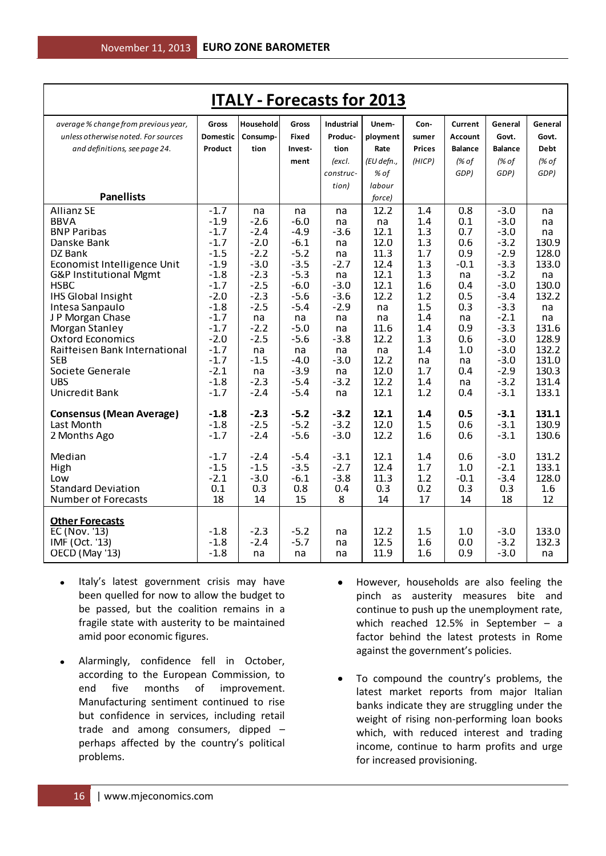| <b>ITALY - Forecasts for 2013</b>     |                  |                  |                  |                   |              |               |                |                  |              |
|---------------------------------------|------------------|------------------|------------------|-------------------|--------------|---------------|----------------|------------------|--------------|
| average % change from previous year,  | Gross            | Household        | Gross            | <b>Industrial</b> | Unem-        | Con-          | Current        | General          | General      |
| unless otherwise noted. For sources   | <b>Domestic</b>  | Consump-         | <b>Fixed</b>     | Produc-           | ployment     | sumer         | Account        | Govt.            | Govt.        |
| and definitions, see page 24.         | Product          | tion             | Invest-          | tion              | Rate         | <b>Prices</b> | <b>Balance</b> | <b>Balance</b>   | <b>Debt</b>  |
|                                       |                  |                  | ment             | (excl.            | (EU defn.,   | (HICP)        | (% of          | (% of            | (% of        |
|                                       |                  |                  |                  | construc-         | % of         |               | GDP)           | GDP)             | GDP)         |
|                                       |                  |                  |                  | tion)             | labour       |               |                |                  |              |
| <b>Panellists</b>                     |                  |                  |                  |                   | force)       |               |                |                  |              |
| <b>Allianz SE</b>                     | $-1.7$           | na               | na               | na                | 12.2         | 1.4           | 0.8            | $-3.0$           | na           |
| <b>BBVA</b>                           | $-1.9$           | $-2.6$           | $-6.0$           | na                | na           | 1.4           | 0.1            | $-3.0$           | na           |
| <b>BNP Paribas</b>                    | $-1.7$           | $-2.4$           | $-4.9$           | $-3.6$            | 12.1         | 1.3           | 0.7            | $-3.0$           | na           |
| Danske Bank                           | $-1.7$           | $-2.0$           | $-6.1$           | na                | 12.0         | 1.3           | 0.6            | $-3.2$           | 130.9        |
| DZ Bank                               | $-1.5$           | $-2.2$           | $-5.2$           | na                | 11.3         | 1.7           | 0.9            | $-2.9$           | 128.0        |
| Economist Intelligence Unit           | $-1.9$           | $-3.0$           | $-3.5$           | $-2.7$            | 12.4         | 1.3           | $-0.1$         | $-3.3$           | 133.0        |
| G&P Institutional Mgmt<br><b>HSBC</b> | $-1.8$<br>$-1.7$ | $-2.3$<br>$-2.5$ | $-5.3$<br>$-6.0$ | na<br>$-3.0$      | 12.1<br>12.1 | 1.3<br>1.6    | na<br>0.4      | $-3.2$<br>$-3.0$ | na<br>130.0  |
| <b>IHS Global Insight</b>             | $-2.0$           | $-2.3$           | $-5.6$           | $-3.6$            | 12.2         | 1.2           | 0.5            | $-3.4$           | 132.2        |
| Intesa Sanpaulo                       | $-1.8$           | $-2.5$           | $-5.4$           | $-2.9$            | na           | 1.5           | 0.3            | $-3.3$           | na           |
| J P Morgan Chase                      | $-1.7$           | na               | na               | na                | na           | 1.4           | na             | $-2.1$           | na           |
| Morgan Stanley                        | $-1.7$           | $-2.2$           | $-5.0$           | na                | 11.6         | 1.4           | 0.9            | $-3.3$           | 131.6        |
| <b>Oxford Economics</b>               | $-2.0$           | $-2.5$           | $-5.6$           | $-3.8$            | 12.2         | 1.3           | 0.6            | $-3.0$           | 128.9        |
| Raitteisen Bank International         | $-1.7$           | na               | na               | na                | na           | 1.4           | 1.0            | $-3.0$           | 132.2        |
| <b>SFB</b>                            | $-1.7$           | $-1.5$           | $-4.0$           | $-3.0$            | 12.2         | na            | na             | $-3.0$           | 131.0        |
| Societe Generale                      | $-2.1$           | na               | $-3.9$           | na                | 12.0         | 1.7           | 0.4            | $-2.9$           | 130.3        |
| <b>UBS</b>                            | $-1.8$           | $-2.3$           | $-5.4$           | $-3.2$            | 12.2         | 1.4           | na             | $-3.2$           | 131.4        |
| Unicredit Bank                        | $-1.7$           | $-2.4$           | $-5.4$           | na                | 12.1         | 1.2           | 0.4            | $-3.1$           | 133.1        |
| <b>Consensus (Mean Average)</b>       | $-1.8$           | $-2.3$           | $-5.2$           | $-3.2$            | 12.1         | 1.4           | 0.5            | $-3.1$           | 131.1        |
| Last Month                            | $-1.8$           | $-2.5$           | $-5.2$           | $-3.2$            | 12.0         | 1.5           | 0.6            | $-3.1$           | 130.9        |
| 2 Months Ago                          | $-1.7$           | $-2.4$           | $-5.6$           | $-3.0$            | 12.2         | 1.6           | 0.6            | $-3.1$           | 130.6        |
|                                       |                  |                  |                  |                   |              |               |                |                  |              |
| Median                                | $-1.7$           | $-2.4$           | $-5.4$           | $-3.1$            | 12.1         | 1.4           | 0.6            | $-3.0$           | 131.2        |
| High                                  | $-1.5$           | $-1.5$           | $-3.5$           | $-2.7$            | 12.4         | 1.7           | 1.0            | $-2.1$           | 133.1        |
| Low<br><b>Standard Deviation</b>      | $-2.1$<br>0.1    | $-3.0$           | $-6.1$<br>0.8    | $-3.8$            | 11.3<br>0.3  | 1.2<br>0.2    | $-0.1$<br>0.3  | $-3.4$<br>0.3    | 128.0<br>1.6 |
| <b>Number of Forecasts</b>            | 18               | 0.3<br>14        | 15               | 0.4<br>8          | 14           | 17            | 14             | 18               | 12           |
|                                       |                  |                  |                  |                   |              |               |                |                  |              |
| <b>Other Forecasts</b>                |                  |                  |                  |                   |              |               |                |                  |              |
| EC (Nov. '13)                         | $-1.8$           | $-2.3$           | $-5.2$           | na                | 12.2         | 1.5           | 1.0            | $-3.0$           | 133.0        |
| IMF (Oct. '13)                        | $-1.8$           | $-2.4$           | $-5.7$           | na                | 12.5         | 1.6           | 0.0            | $-3.2$           | 132.3        |
| OECD (May '13)                        | $-1.8$           | na               | na               | na                | 11.9         | 1.6           | 0.9            | $-3.0$           | na           |

- Italy's latest government crisis may have been quelled for now to allow the budget to be passed, but the coalition remains in a fragile state with austerity to be maintained amid poor economic figures.
- Alarmingly, confidence fell in October,  $\bullet$ according to the European Commission, to end five months of improvement. Manufacturing sentiment continued to rise but confidence in services, including retail trade and among consumers, dipped – perhaps affected by the country's political problems.
- However, households are also feeling the pinch as austerity measures bite and continue to push up the unemployment rate, which reached 12.5% in September – a factor behind the latest protests in Rome against the government's policies.
- To compound the country's problems, the latest market reports from major Italian banks indicate they are struggling under the weight of rising non-performing loan books which, with reduced interest and trading income, continue to harm profits and urge for increased provisioning.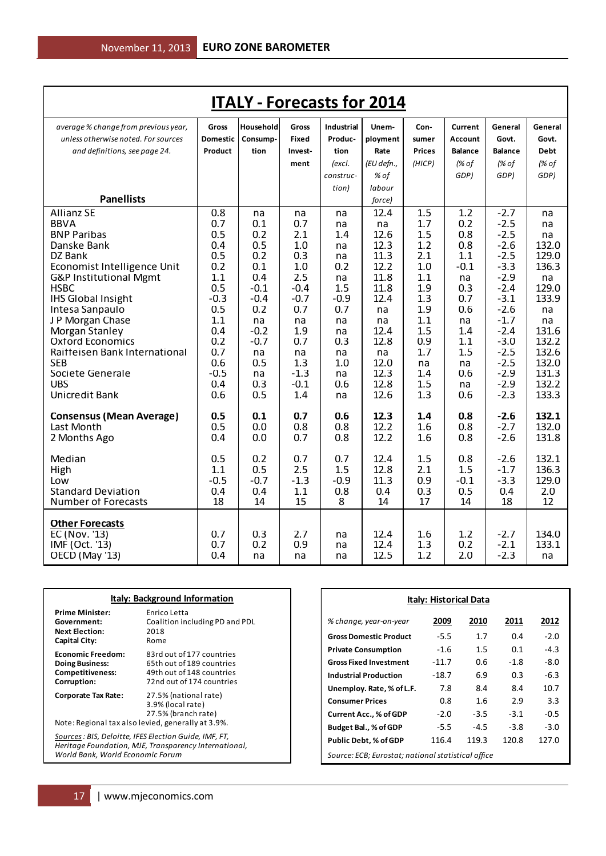| <b>ITALY - Forecasts for 2014</b>     |                 |            |               |                   |              |               |                |                  |             |
|---------------------------------------|-----------------|------------|---------------|-------------------|--------------|---------------|----------------|------------------|-------------|
| average % change from previous year,  | Gross           | Household  | Gross         | <b>Industrial</b> | Unem-        | Con-          | Current        | General          | General     |
| unless otherwise noted. For sources   | <b>Domestic</b> | Consump-   | Fixed         | Produc-           | ployment     | sumer         | <b>Account</b> | Govt.            | Govt.       |
| and definitions, see page 24.         | Product         | tion       | Invest-       | tion              | Rate         | <b>Prices</b> | <b>Balance</b> | <b>Balance</b>   | <b>Debt</b> |
|                                       |                 |            | ment          | (excl.            | (EU defn.,   | (HICP)        | (% of          | (% of            | (% of       |
|                                       |                 |            |               | construc-         | % of         |               | GDP)           | GDP)             | GDP)        |
|                                       |                 |            |               | tion)             | labour       |               |                |                  |             |
| <b>Panellists</b>                     |                 |            |               |                   | force)       |               |                |                  |             |
| <b>Allianz SE</b>                     | 0.8             | na         | na            | na                | 12.4         | 1.5           | 1.2            | $-2.7$           | na          |
| <b>BBVA</b>                           | 0.7             | 0.1        | 0.7           | na                | na           | 1.7           | 0.2            | $-2.5$           | na          |
| <b>BNP Paribas</b>                    | 0.5             | 0.2        | 2.1           | 1.4               | 12.6         | 1.5           | 0.8            | $-2.5$           | na          |
| Danske Bank                           | 0.4             | 0.5        | 1.0           | na                | 12.3         | 1.2           | 0.8            | $-2.6$           | 132.0       |
| DZ Bank                               | 0.5             | 0.2        | 0.3           | na                | 11.3         | 2.1           | 1.1            | $-2.5$           | 129.0       |
| Economist Intelligence Unit           | 0.2<br>1.1      | 0.1<br>0.4 | 1.0           | 0.2               | 12.2         | 1.0           | $-0.1$         | $-3.3$<br>$-2.9$ | 136.3       |
| G&P Institutional Mgmt<br><b>HSBC</b> | 0.5             | $-0.1$     | 2.5<br>$-0.4$ | na<br>1.5         | 11.8<br>11.8 | 1.1<br>1.9    | na<br>0.3      | $-2.4$           | na<br>129.0 |
| <b>IHS Global Insight</b>             | $-0.3$          | $-0.4$     | $-0.7$        | $-0.9$            | 12.4         | 1.3           | 0.7            | $-3.1$           | 133.9       |
| Intesa Sanpaulo                       | 0.5             | 0.2        | 0.7           | 0.7               | na           | 1.9           | 0.6            | $-2.6$           | na          |
| J P Morgan Chase                      | 1.1             | na         | na            | na                | na           | 1.1           | na             | $-1.7$           | na          |
| Morgan Stanley                        | 0.4             | $-0.2$     | 1.9           | na                | 12.4         | 1.5           | 1.4            | $-2.4$           | 131.6       |
| <b>Oxford Economics</b>               | 0.2             | $-0.7$     | 0.7           | 0.3               | 12.8         | 0.9           | 1.1            | $-3.0$           | 132.2       |
| Raiffeisen Bank International         | 0.7             | na         | na            | na                | na           | 1.7           | 1.5            | $-2.5$           | 132.6       |
| <b>SEB</b>                            | 0.6             | 0.5        | 1.3           | 1.0               | 12.0         | na            | na             | $-2.5$           | 132.0       |
| Societe Generale                      | $-0.5$          | na         | $-1.3$        | na                | 12.3         | 1.4           | 0.6            | $-2.9$           | 131.3       |
| <b>UBS</b>                            | 0.4             | 0.3        | $-0.1$        | 0.6               | 12.8         | 1.5           | na             | $-2.9$           | 132.2       |
| Unicredit Bank                        | 0.6             | 0.5        | 1.4           | na                | 12.6         | 1.3           | 0.6            | $-2.3$           | 133.3       |
| <b>Consensus (Mean Average)</b>       | 0.5             | 0.1        | 0.7           | 0.6               | 12.3         | 1.4           | 0.8            | $-2.6$           | 132.1       |
| Last Month                            | 0.5             | 0.0        | 0.8           | 0.8               | 12.2         | 1.6           | 0.8            | $-2.7$           | 132.0       |
| 2 Months Ago                          | 0.4             | 0.0        | 0.7           | 0.8               | 12.2         | 1.6           | 0.8            | $-2.6$           | 131.8       |
|                                       |                 |            |               |                   |              |               |                |                  |             |
| Median                                | 0.5             | 0.2        | 0.7           | 0.7               | 12.4         | 1.5           | 0.8            | $-2.6$           | 132.1       |
| High                                  | 1.1             | 0.5        | 2.5           | 1.5               | 12.8         | 2.1           | 1.5            | $-1.7$           | 136.3       |
| Low                                   | $-0.5$          | $-0.7$     | $-1.3$        | $-0.9$            | 11.3         | 0.9           | $-0.1$         | $-3.3$           | 129.0       |
| <b>Standard Deviation</b>             | 0.4             | 0.4        | 1.1           | 0.8               | 0.4          | 0.3           | 0.5            | 0.4              | 2.0         |
| <b>Number of Forecasts</b>            | 18              | 14         | 15            | 8                 | 14           | 17            | 14             | 18               | 12          |
| <b>Other Forecasts</b>                |                 |            |               |                   |              |               |                |                  |             |
| EC (Nov. '13)                         | 0.7             | 0.3        | 2.7           | na                | 12.4         | 1.6           | 1.2            | $-2.7$           | 134.0       |
| IMF (Oct. '13)                        | 0.7             | 0.2        | 0.9           | na                | 12.4         | 1.3           | 0.2            | $-2.1$           | 133.1       |
| OECD (May '13)                        | 0.4             | na         | na            | na                | 12.5         | 1.2           | 2.0            | $-2.3$           | na          |

| <b>Italy: Background Information</b>                                                                                                                |                                                                                                                  |  |  |  |  |
|-----------------------------------------------------------------------------------------------------------------------------------------------------|------------------------------------------------------------------------------------------------------------------|--|--|--|--|
| <b>Prime Minister:</b><br>Government:<br><b>Next Election:</b><br><b>Capital City:</b>                                                              | Enrico Letta<br>Coalition including PD and PDL<br>2018<br>Rome                                                   |  |  |  |  |
| <b>Fconomic Freedom:</b><br><b>Doing Business:</b><br><b>Competitiveness:</b><br>Corruption:                                                        | 83rd out of 177 countries<br>65th out of 189 countries<br>49th out of 148 countries<br>72nd out of 174 countries |  |  |  |  |
| Corporate Tax Rate:<br>Note: Regional tax also levied, generally at 3.9%.                                                                           | 27.5% (national rate)<br>3.9% (local rate)<br>27.5% (branch rate)                                                |  |  |  |  |
| Sources : BIS, Deloitte, IFES Election Guide, IMF, FT,<br>Heritage Foundation, MJE, Transparency International,<br>World Bank, World Economic Forum |                                                                                                                  |  |  |  |  |

| <b>Italy: Historical Data</b>                      |         |        |        |        |  |  |  |  |  |
|----------------------------------------------------|---------|--------|--------|--------|--|--|--|--|--|
| % change, year-on-year                             | 2009    | 2010   | 2011   | 2012   |  |  |  |  |  |
| <b>Gross Domestic Product</b>                      | $-5.5$  | 1.7    | 0.4    | $-2.0$ |  |  |  |  |  |
| <b>Private Consumption</b>                         | $-1.6$  | 1.5    | 0.1    | $-4.3$ |  |  |  |  |  |
| <b>Gross Fixed Investment</b>                      | $-11.7$ | 0.6    | $-1.8$ | $-8.0$ |  |  |  |  |  |
| <b>Industrial Production</b>                       | $-18.7$ | 6.9    | 0.3    | $-6.3$ |  |  |  |  |  |
| Unemploy. Rate, % of L.F.                          | 7.8     | 8.4    | 8.4    | 10.7   |  |  |  |  |  |
| <b>Consumer Prices</b>                             | 0.8     | 1.6    | 2.9    | 3.3    |  |  |  |  |  |
| Current Acc., % of GDP                             | $-2.0$  | $-3.5$ | $-3.1$ | $-0.5$ |  |  |  |  |  |
| Budget Bal., % of GDP                              | -5.5    | $-4.5$ | $-3.8$ | $-3.0$ |  |  |  |  |  |
| Public Debt, % of GDP                              | 116.4   | 119.3  | 120.8  | 127.0  |  |  |  |  |  |
| Source: ECB; Eurostat; national statistical office |         |        |        |        |  |  |  |  |  |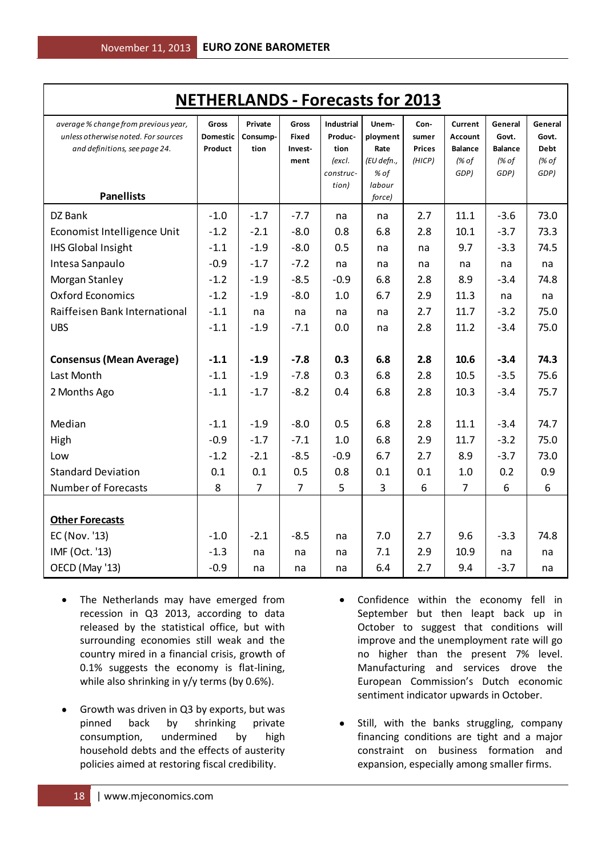| <b>NETHERLANDS - Forecasts for 2013</b>                                                                      |                                     |                             |                           |                                      |                              |                                |                                      |                                    |                                 |
|--------------------------------------------------------------------------------------------------------------|-------------------------------------|-----------------------------|---------------------------|--------------------------------------|------------------------------|--------------------------------|--------------------------------------|------------------------------------|---------------------------------|
| average % change from previous year,<br>unless otherwise noted. For sources<br>and definitions, see page 24. | Gross<br><b>Domestic</b><br>Product | Private<br>Consump-<br>tion | Gross<br>Fixed<br>Invest- | <b>Industrial</b><br>Produc-<br>tion | Unem-<br>ployment<br>Rate    | Con-<br>sumer<br><b>Prices</b> | Current<br>Account<br><b>Balance</b> | General<br>Govt.<br><b>Balance</b> | General<br>Govt.<br><b>Debt</b> |
|                                                                                                              |                                     |                             | ment                      | (excl.<br>construc-<br>tion)         | (EU defn.,<br>% of<br>labour | (HICP)                         | (% of<br>GDP)                        | (% of<br>GDP)                      | (% of<br>GDP)                   |
| <b>Panellists</b>                                                                                            |                                     |                             |                           |                                      | force)                       |                                |                                      |                                    |                                 |
| DZ Bank                                                                                                      | $-1.0$                              | $-1.7$                      | $-7.7$                    | na                                   | na                           | 2.7                            | 11.1                                 | $-3.6$                             | 73.0                            |
| Economist Intelligence Unit                                                                                  | $-1.2$                              | $-2.1$                      | $-8.0$                    | 0.8                                  | 6.8                          | 2.8                            | 10.1                                 | $-3.7$                             | 73.3                            |
| <b>IHS Global Insight</b>                                                                                    | $-1.1$                              | $-1.9$                      | $-8.0$                    | 0.5                                  | na                           | na                             | 9.7                                  | $-3.3$                             | 74.5                            |
| Intesa Sanpaulo                                                                                              | $-0.9$                              | $-1.7$                      | $-7.2$                    | na                                   | na                           | na                             | na                                   | na                                 | na                              |
| Morgan Stanley                                                                                               | $-1.2$                              | $-1.9$                      | $-8.5$                    | $-0.9$                               | 6.8                          | 2.8                            | 8.9                                  | $-3.4$                             | 74.8                            |
| <b>Oxford Economics</b>                                                                                      | $-1.2$                              | $-1.9$                      | $-8.0$                    | 1.0                                  | 6.7                          | 2.9                            | 11.3                                 | na                                 | na                              |
| Raiffeisen Bank International                                                                                | $-1.1$                              | na                          | na                        | na                                   | na                           | 2.7                            | 11.7                                 | $-3.2$                             | 75.0                            |
| <b>UBS</b>                                                                                                   | $-1.1$                              | $-1.9$                      | $-7.1$                    | 0.0                                  | na                           | 2.8                            | 11.2                                 | $-3.4$                             | 75.0                            |
| <b>Consensus (Mean Average)</b>                                                                              | $-1.1$                              | $-1.9$                      | $-7.8$                    | 0.3                                  | 6.8                          | 2.8                            | 10.6                                 | $-3.4$                             | 74.3                            |
| Last Month                                                                                                   | $-1.1$                              | $-1.9$                      | $-7.8$                    | 0.3                                  | 6.8                          | 2.8                            | 10.5                                 | $-3.5$                             | 75.6                            |
| 2 Months Ago                                                                                                 | $-1.1$                              | $-1.7$                      | $-8.2$                    | 0.4                                  | 6.8                          | 2.8                            | 10.3                                 | $-3.4$                             | 75.7                            |
| Median                                                                                                       | $-1.1$                              | $-1.9$                      | $-8.0$                    | 0.5                                  | 6.8                          | 2.8                            | 11.1                                 | $-3.4$                             | 74.7                            |
| High                                                                                                         | $-0.9$                              | $-1.7$                      | $-7.1$                    | 1.0                                  | 6.8                          | 2.9                            | 11.7                                 | $-3.2$                             | 75.0                            |
| Low                                                                                                          | $-1.2$                              | $-2.1$                      | $-8.5$                    | $-0.9$                               | 6.7                          | 2.7                            | 8.9                                  | $-3.7$                             | 73.0                            |
| <b>Standard Deviation</b>                                                                                    | 0.1                                 | 0.1                         | 0.5                       | 0.8                                  | 0.1                          | 0.1                            | 1.0                                  | 0.2                                | 0.9                             |
| <b>Number of Forecasts</b>                                                                                   | 8                                   | 7                           | $\overline{7}$            | 5                                    | 3                            | 6                              | $\overline{7}$                       | 6                                  | 6                               |
| <b>Other Forecasts</b>                                                                                       |                                     |                             |                           |                                      |                              |                                |                                      |                                    |                                 |
| EC (Nov. '13)                                                                                                | $-1.0$                              | $-2.1$                      | $-8.5$                    | na                                   | 7.0                          | 2.7                            | 9.6                                  | $-3.3$                             | 74.8                            |
| IMF (Oct. '13)                                                                                               | $-1.3$                              | na                          | na                        | na                                   | 7.1                          | 2.9                            | 10.9                                 | na                                 | na                              |
| OECD (May '13)                                                                                               | $-0.9$                              | na                          | na                        | na                                   | 6.4                          | 2.7                            | 9.4                                  | $-3.7$                             | na                              |

- The Netherlands may have emerged from  $\bullet$ recession in Q3 2013, according to data released by the statistical office, but with surrounding economies still weak and the country mired in a financial crisis, growth of 0.1% suggests the economy is flat-lining, while also shrinking in y/y terms (by 0.6%).
- Growth was driven in Q3 by exports, but was pinned back by shrinking private consumption, undermined by high household debts and the effects of austerity policies aimed at restoring fiscal credibility.
- Confidence within the economy fell in September but then leapt back up in October to suggest that conditions will improve and the unemployment rate will go no higher than the present 7% level. Manufacturing and services drove the European Commission's Dutch economic sentiment indicator upwards in October.
- Still, with the banks struggling, company financing conditions are tight and a major constraint on business formation and expansion, especially among smaller firms.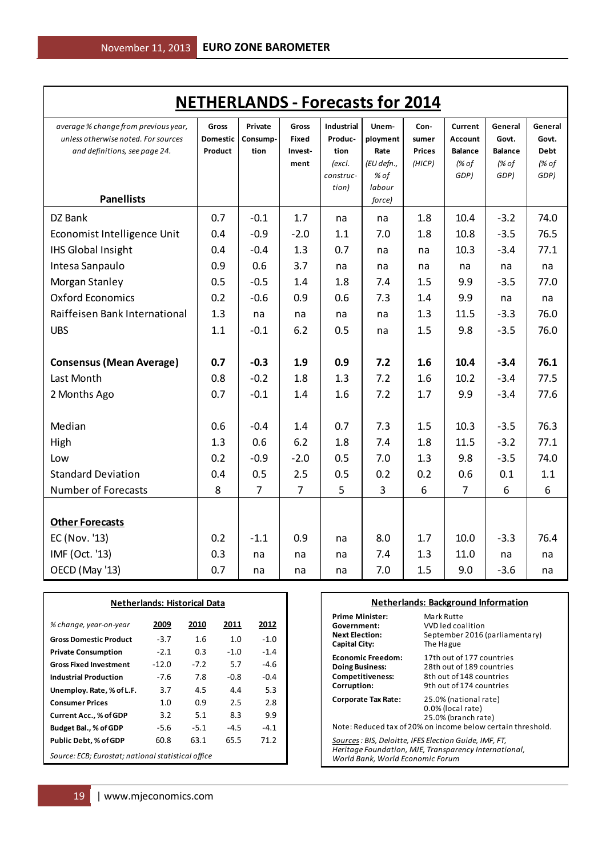| <b>NETHERLANDS - Forecasts for 2014</b>                                                                                           |                                     |                             |                                          |                                                                      |                                                           |                                          |                                                       |                                                     |                                                  |
|-----------------------------------------------------------------------------------------------------------------------------------|-------------------------------------|-----------------------------|------------------------------------------|----------------------------------------------------------------------|-----------------------------------------------------------|------------------------------------------|-------------------------------------------------------|-----------------------------------------------------|--------------------------------------------------|
| average % change from previous year,<br>unless otherwise noted. For sources<br>and definitions, see page 24.<br><b>Panellists</b> | Gross<br><b>Domestic</b><br>Product | Private<br>Consump-<br>tion | Gross<br><b>Fixed</b><br>Invest-<br>ment | <b>Industrial</b><br>Produc-<br>tion<br>(excl.<br>construc-<br>tion) | Unem-<br>ployment<br>Rate<br>(EU defn.,<br>% of<br>labour | Con-<br>sumer<br><b>Prices</b><br>(HICP) | Current<br>Account<br><b>Balance</b><br>(% of<br>GDP) | General<br>Govt.<br><b>Balance</b><br>(% of<br>GDP) | General<br>Govt.<br><b>Debt</b><br>(% of<br>GDP) |
|                                                                                                                                   |                                     |                             |                                          |                                                                      | force)                                                    |                                          |                                                       |                                                     |                                                  |
| DZ Bank                                                                                                                           | 0.7                                 | $-0.1$                      | 1.7                                      | na                                                                   | na                                                        | 1.8                                      | 10.4                                                  | $-3.2$                                              | 74.0                                             |
| Economist Intelligence Unit                                                                                                       | 0.4                                 | $-0.9$                      | $-2.0$                                   | 1.1                                                                  | 7.0                                                       | 1.8                                      | 10.8                                                  | $-3.5$                                              | 76.5                                             |
| <b>IHS Global Insight</b>                                                                                                         | 0.4                                 | $-0.4$                      | 1.3                                      | 0.7                                                                  | na                                                        | na                                       | 10.3                                                  | $-3.4$                                              | 77.1                                             |
| Intesa Sanpaulo                                                                                                                   | 0.9                                 | 0.6                         | 3.7                                      | na                                                                   | na                                                        | na                                       | na                                                    | na                                                  | na                                               |
| Morgan Stanley                                                                                                                    | 0.5                                 | $-0.5$                      | 1.4                                      | 1.8                                                                  | 7.4                                                       | 1.5                                      | 9.9                                                   | $-3.5$                                              | 77.0                                             |
| <b>Oxford Economics</b>                                                                                                           | 0.2                                 | $-0.6$                      | 0.9                                      | 0.6                                                                  | 7.3                                                       | 1.4                                      | 9.9                                                   | na                                                  | na                                               |
| Raiffeisen Bank International                                                                                                     | 1.3                                 | na                          | na                                       | na                                                                   | na                                                        | 1.3                                      | 11.5                                                  | $-3.3$                                              | 76.0                                             |
| <b>UBS</b>                                                                                                                        | 1.1                                 | $-0.1$                      | 6.2                                      | 0.5                                                                  | na                                                        | 1.5                                      | 9.8                                                   | $-3.5$                                              | 76.0                                             |
| <b>Consensus (Mean Average)</b>                                                                                                   | 0.7                                 | $-0.3$                      | 1.9                                      | 0.9                                                                  | 7.2                                                       | 1.6                                      | 10.4                                                  | $-3.4$                                              | 76.1                                             |
| Last Month                                                                                                                        | 0.8                                 | $-0.2$                      | 1.8                                      | 1.3                                                                  | 7.2                                                       | 1.6                                      | 10.2                                                  | $-3.4$                                              | 77.5                                             |
| 2 Months Ago                                                                                                                      | 0.7                                 | $-0.1$                      | 1.4                                      | 1.6                                                                  | 7.2                                                       | 1.7                                      | 9.9                                                   | $-3.4$                                              | 77.6                                             |
| Median                                                                                                                            | 0.6                                 | $-0.4$                      | 1.4                                      | 0.7                                                                  | 7.3                                                       | 1.5                                      | 10.3                                                  | $-3.5$                                              | 76.3                                             |
| High                                                                                                                              | 1.3                                 | 0.6                         | 6.2                                      | 1.8                                                                  | 7.4                                                       | 1.8                                      | 11.5                                                  | $-3.2$                                              | 77.1                                             |
| Low                                                                                                                               | 0.2                                 | $-0.9$                      | $-2.0$                                   | 0.5                                                                  | 7.0                                                       | 1.3                                      | 9.8                                                   | $-3.5$                                              | 74.0                                             |
| <b>Standard Deviation</b>                                                                                                         | 0.4                                 | 0.5                         | 2.5                                      | 0.5                                                                  | 0.2                                                       | 0.2                                      | 0.6                                                   | 0.1                                                 | 1.1                                              |
| <b>Number of Forecasts</b>                                                                                                        | 8                                   | $\overline{7}$              | 7                                        | 5                                                                    | 3                                                         | 6                                        | 7                                                     | 6                                                   | 6                                                |
| <b>Other Forecasts</b>                                                                                                            |                                     |                             |                                          |                                                                      |                                                           |                                          |                                                       |                                                     |                                                  |
| EC (Nov. '13)                                                                                                                     | 0.2                                 | $-1.1$                      | 0.9                                      | na                                                                   | 8.0                                                       | 1.7                                      | 10.0                                                  | $-3.3$                                              | 76.4                                             |
| IMF (Oct. '13)                                                                                                                    | 0.3                                 | na                          | na                                       | na                                                                   | 7.4                                                       | 1.3                                      | 11.0                                                  | na                                                  | na                                               |
| OECD (May '13)                                                                                                                    | 0.7                                 | na                          | na                                       | na                                                                   | 7.0                                                       | 1.5                                      | 9.0                                                   | $-3.6$                                              | na                                               |

| <b>Netherlands: Historical Data</b>                          |         |        |        |        |  |  |
|--------------------------------------------------------------|---------|--------|--------|--------|--|--|
| % change, year-on-year                                       | 2009    | 2010   | 2011   | 2012   |  |  |
| <b>Gross Domestic Product</b>                                | $-3.7$  | 1.6    | 1.0    | $-1.0$ |  |  |
| <b>Private Consumption</b>                                   | $-2.1$  | 0.3    | $-1.0$ | $-1.4$ |  |  |
| <b>Gross Fixed Investment</b>                                | $-12.0$ | $-7.2$ | 5.7    | $-4.6$ |  |  |
| <b>Industrial Production</b>                                 | $-7.6$  | 7.8    | -0.8   | $-0.4$ |  |  |
| Unemploy. Rate, % of L.F.                                    | 3.7     | 4.5    | 4.4    | 5.3    |  |  |
| <b>Consumer Prices</b>                                       | 1.0     | 0.9    | 2.5    | 2.8    |  |  |
| <b>Current Acc., % of GDP</b>                                | 3.2     | 5.1    | 8.3    | 9.9    |  |  |
| Budget Bal., % of GDP                                        | -5.6    | $-5.1$ | $-4.5$ | $-4.1$ |  |  |
| 65.5<br>71.2<br>60.8<br>63.1<br><b>Public Debt, % of GDP</b> |         |        |        |        |  |  |
| Source: ECB; Eurostat; national statistical office           |         |        |        |        |  |  |

#### **Netherlands: Background Information**

| <b>Prime Minister:</b>                                                                                                                                                                                             | Mark Rutte                                                        |  |  |  |
|--------------------------------------------------------------------------------------------------------------------------------------------------------------------------------------------------------------------|-------------------------------------------------------------------|--|--|--|
| Government:                                                                                                                                                                                                        | VVD led coalition                                                 |  |  |  |
| <b>Next Election:</b>                                                                                                                                                                                              | September 2016 (parliamentary)                                    |  |  |  |
| Capital City:                                                                                                                                                                                                      | The Hague                                                         |  |  |  |
| <b>Economic Freedom:</b>                                                                                                                                                                                           | 17th out of 177 countries                                         |  |  |  |
| <b>Doing Business:</b>                                                                                                                                                                                             | 28th out of 189 countries                                         |  |  |  |
| <b>Competitiveness:</b>                                                                                                                                                                                            | 8th out of 148 countries                                          |  |  |  |
| Corruption:                                                                                                                                                                                                        | 9th out of 174 countries                                          |  |  |  |
| <b>Corporate Tax Rate:</b>                                                                                                                                                                                         | 25.0% (national rate)<br>0.0% (local rate)<br>25.0% (branch rate) |  |  |  |
| Note: Reduced tax of 20% on income below certain threshold.<br>Sources : BIS, Deloitte, IFES Election Guide, IMF, FT,<br>Heritage Foundation, MJE, Transparency International,<br>World Bank. World Economic Forum |                                                                   |  |  |  |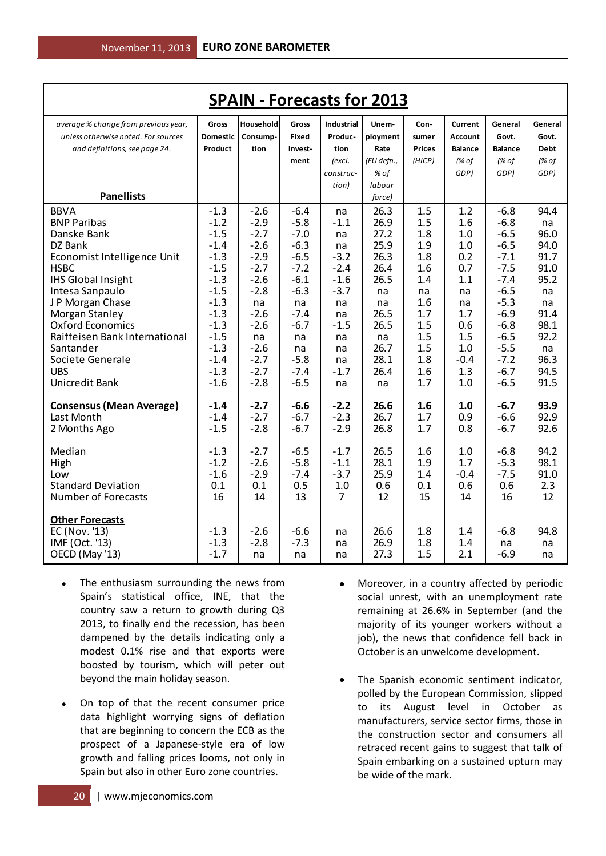| <b>SPAIN - Forecasts for 2013</b>    |                  |              |              |                   |            |               |                |                  |             |
|--------------------------------------|------------------|--------------|--------------|-------------------|------------|---------------|----------------|------------------|-------------|
| average % change from previous year, | Gross            | Household    | Gross        | <b>Industrial</b> | Unem-      | Con-          | Current        | General          | General     |
| unless otherwise noted. For sources  | <b>Domestic</b>  | Consump-     | Fixed        | Produc-           | ployment   | sumer         | <b>Account</b> | Govt.            | Govt.       |
| and definitions, see page 24.        | Product          | tion         | Invest-      | tion              | Rate       | <b>Prices</b> | <b>Balance</b> | <b>Balance</b>   | <b>Debt</b> |
|                                      |                  |              | ment         | (excl.            | (EU defn., | (HICP)        | (% of          | (% of            | (% of       |
|                                      |                  |              |              | construc-         | % of       |               | GDP)           | GDP)             | GDP)        |
|                                      |                  |              |              | tion)             | labour     |               |                |                  |             |
| <b>Panellists</b>                    |                  |              |              |                   | force)     |               |                |                  |             |
| <b>BBVA</b>                          | $-1.3$           | $-2.6$       | $-6.4$       | na                | 26.3       | 1.5           | 1.2            | $-6.8$           | 94.4        |
| <b>BNP Paribas</b>                   | $-1.2$           | $-2.9$       | $-5.8$       | $-1.1$            | 26.9       | 1.5           | 1.6            | $-6.8$           | na          |
| Danske Bank                          | $-1.5$           | $-2.7$       | $-7.0$       | na                | 27.2       | 1.8           | 1.0            | $-6.5$           | 96.0        |
| DZ Bank                              | $-1.4$           | $-2.6$       | $-6.3$       | na                | 25.9       | 1.9           | 1.0            | $-6.5$           | 94.0        |
| Economist Intelligence Unit          | $-1.3$           | $-2.9$       | $-6.5$       | $-3.2$            | 26.3       | 1.8           | 0.2            | $-7.1$           | 91.7        |
| <b>HSBC</b>                          | $-1.5$           | $-2.7$       | $-7.2$       | $-2.4$            | 26.4       | 1.6           | 0.7            | $-7.5$           | 91.0        |
| <b>IHS Global Insight</b>            | $-1.3$           | $-2.6$       | $-6.1$       | $-1.6$            | 26.5       | 1.4           | 1.1            | $-7.4$           | 95.2        |
| Intesa Sanpaulo                      | $-1.5$           | $-2.8$       | $-6.3$       | $-3.7$            | na         | na            | na             | $-6.5$           | na          |
| J P Morgan Chase                     | $-1.3$           | na           | na           | na                | na         | 1.6           | na             | $-5.3$           | na          |
| Morgan Stanley                       | $-1.3$           | $-2.6$       | $-7.4$       | na                | 26.5       | 1.7           | 1.7            | $-6.9$           | 91.4        |
| <b>Oxford Economics</b>              | $-1.3$           | $-2.6$       | $-6.7$       | $-1.5$            | 26.5       | 1.5           | 0.6            | $-6.8$           | 98.1        |
| Raiffeisen Bank International        | $-1.5$<br>$-1.3$ | na<br>$-2.6$ | na           | na                | na<br>26.7 | 1.5<br>1.5    | 1.5<br>1.0     | $-6.5$<br>$-5.5$ | 92.2        |
| Santander<br>Societe Generale        | $-1.4$           | $-2.7$       | na<br>$-5.8$ | na<br>na          | 28.1       | 1.8           | $-0.4$         | $-7.2$           | na<br>96.3  |
| <b>UBS</b>                           | $-1.3$           | $-2.7$       | $-7.4$       | $-1.7$            | 26.4       | 1.6           | 1.3            | $-6.7$           | 94.5        |
| Unicredit Bank                       | $-1.6$           | $-2.8$       | $-6.5$       | na                | na         | 1.7           | 1.0            | $-6.5$           | 91.5        |
|                                      |                  |              |              |                   |            |               |                |                  |             |
| <b>Consensus (Mean Average)</b>      | $-1.4$           | $-2.7$       | $-6.6$       | $-2.2$            | 26.6       | 1.6           | 1.0            | $-6.7$           | 93.9        |
| Last Month                           | $-1.4$           | $-2.7$       | $-6.7$       | $-2.3$            | 26.7       | 1.7           | 0.9            | $-6.6$           | 92.9        |
| 2 Months Ago                         | $-1.5$           | $-2.8$       | $-6.7$       | $-2.9$            | 26.8       | 1.7           | 0.8            | $-6.7$           | 92.6        |
|                                      |                  |              |              |                   |            |               |                |                  |             |
| Median                               | $-1.3$           | $-2.7$       | $-6.5$       | $-1.7$            | 26.5       | 1.6           | 1.0            | $-6.8$           | 94.2        |
| High                                 | $-1.2$           | $-2.6$       | $-5.8$       | $-1.1$            | 28.1       | 1.9           | 1.7            | $-5.3$           | 98.1        |
| Low                                  | $-1.6$           | $-2.9$       | $-7.4$       | $-3.7$            | 25.9       | 1.4           | $-0.4$         | $-7.5$           | 91.0        |
| <b>Standard Deviation</b>            | 0.1              | 0.1          | 0.5          | 1.0               | 0.6        | 0.1           | 0.6            | 0.6              | 2.3         |
| <b>Number of Forecasts</b>           | 16               | 14           | 13           | $\overline{7}$    | 12         | 15            | 14             | 16               | 12          |
| <b>Other Forecasts</b>               |                  |              |              |                   |            |               |                |                  |             |
| EC (Nov. '13)                        | $-1.3$           | $-2.6$       | $-6.6$       | na                | 26.6       | 1.8           | 1.4            | $-6.8$           | 94.8        |
| IMF (Oct. '13)                       | $-1.3$           | $-2.8$       | $-7.3$       | na                | 26.9       | 1.8           | 1.4            | na               | na          |
| OECD (May '13)                       | $-1.7$           | na           | na           | na                | 27.3       | 1.5           | 2.1            | $-6.9$           | na          |
|                                      |                  |              |              |                   |            |               |                |                  |             |

- The enthusiasm surrounding the news from  $\bullet$ Spain's statistical office, INE, that the country saw a return to growth during Q3 2013, to finally end the recession, has been dampened by the details indicating only a modest 0.1% rise and that exports were boosted by tourism, which will peter out beyond the main holiday season.
- On top of that the recent consumer price  $\bullet$ data highlight worrying signs of deflation that are beginning to concern the ECB as the prospect of a Japanese-style era of low growth and falling prices looms, not only in Spain but also in other Euro zone countries.
- Moreover, in a country affected by periodic social unrest, with an unemployment rate remaining at 26.6% in September (and the majority of its younger workers without a job), the news that confidence fell back in October is an unwelcome development.
- The Spanish economic sentiment indicator, polled by the European Commission, slipped to its August level in October as manufacturers, service sector firms, those in the construction sector and consumers all retraced recent gains to suggest that talk of Spain embarking on a sustained upturn may be wide of the mark.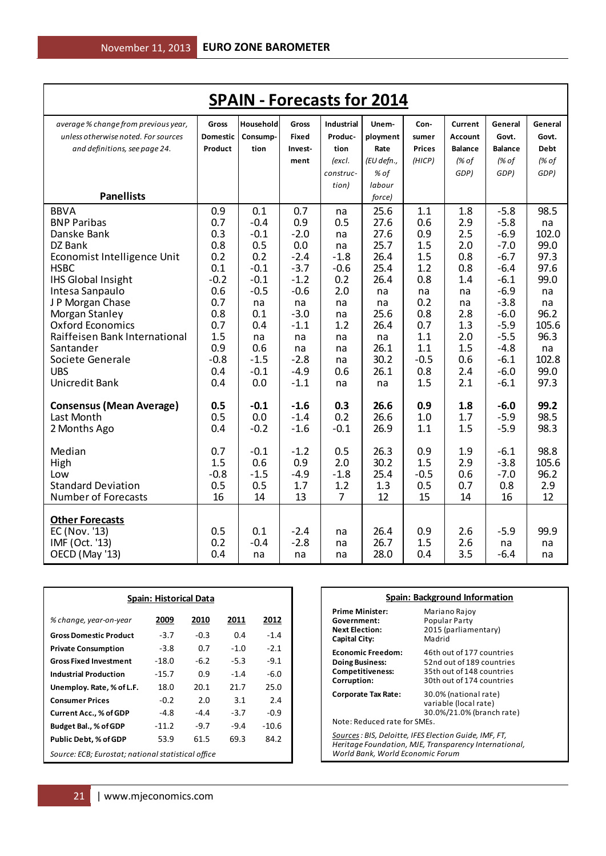| <b>SPAIN - Forecasts for 2014</b>                                           |                          |                       |                       |                       |                   |               |                           |                  |                  |
|-----------------------------------------------------------------------------|--------------------------|-----------------------|-----------------------|-----------------------|-------------------|---------------|---------------------------|------------------|------------------|
| average % change from previous year,<br>unless otherwise noted. For sources | Gross<br><b>Domestic</b> | Household<br>Consump- | Gross<br><b>Fixed</b> | Industrial<br>Produc- | Unem-<br>ployment | Con-<br>sumer | Current<br><b>Account</b> | General<br>Govt. | General<br>Govt. |
| and definitions, see page 24.                                               | Product                  | tion                  | Invest-               | tion                  | Rate              | <b>Prices</b> | <b>Balance</b>            | <b>Balance</b>   | <b>Debt</b>      |
|                                                                             |                          |                       | ment                  | (excl.                | (EU defn.,        | (HICP)        | (% of                     | (% of            | (% of            |
|                                                                             |                          |                       |                       | construc-             | % of              |               | GDP)                      | GDP)             | GDP)             |
|                                                                             |                          |                       |                       | tion)                 | labour            |               |                           |                  |                  |
| <b>Panellists</b>                                                           |                          |                       |                       |                       | force)            |               |                           |                  |                  |
| <b>BBVA</b>                                                                 | 0.9                      | 0.1                   | 0.7                   | na                    | 25.6              | 1.1           | 1.8                       | $-5.8$           | 98.5             |
| <b>BNP Paribas</b>                                                          | 0.7                      | $-0.4$                | 0.9                   | 0.5                   | 27.6              | 0.6           | 2.9                       | $-5.8$           | na               |
| Danske Bank<br>DZ Bank                                                      | 0.3<br>0.8               | $-0.1$<br>0.5         | $-2.0$<br>0.0         | na                    | 27.6<br>25.7      | 0.9<br>1.5    | 2.5<br>2.0                | $-6.9$<br>$-7.0$ | 102.0<br>99.0    |
| Economist Intelligence Unit                                                 | 0.2                      | 0.2                   | $-2.4$                | na<br>$-1.8$          | 26.4              | 1.5           | 0.8                       | $-6.7$           | 97.3             |
| <b>HSBC</b>                                                                 | 0.1                      | $-0.1$                | $-3.7$                | $-0.6$                | 25.4              | 1.2           | 0.8                       | $-6.4$           | 97.6             |
| <b>IHS Global Insight</b>                                                   | $-0.2$                   | $-0.1$                | $-1.2$                | 0.2                   | 26.4              | 0.8           | 1.4                       | $-6.1$           | 99.0             |
| Intesa Sanpaulo                                                             | 0.6                      | $-0.5$                | $-0.6$                | 2.0                   | na                | na            | na                        | $-6.9$           | na               |
| J P Morgan Chase                                                            | 0.7                      | na                    | na                    | na                    | na                | 0.2           | na                        | $-3.8$           | na               |
| Morgan Stanley                                                              | 0.8                      | 0.1                   | $-3.0$                | na                    | 25.6              | 0.8           | 2.8                       | $-6.0$           | 96.2             |
| <b>Oxford Economics</b>                                                     | 0.7                      | 0.4                   | $-1.1$                | 1.2                   | 26.4              | 0.7           | 1.3                       | $-5.9$           | 105.6            |
| Raiffeisen Bank International                                               | 1.5                      | na                    | na                    | na                    | na                | 1.1           | 2.0                       | $-5.5$           | 96.3             |
| Santander                                                                   | 0.9                      | 0.6                   | na                    | na                    | 26.1              | 1.1           | 1.5                       | $-4.8$           | na               |
| Societe Generale<br><b>UBS</b>                                              | $-0.8$<br>0.4            | $-1.5$<br>$-0.1$      | $-2.8$<br>$-4.9$      | na<br>0.6             | 30.2<br>26.1      | $-0.5$<br>0.8 | 0.6<br>2.4                | $-6.1$<br>$-6.0$ | 102.8<br>99.0    |
| Unicredit Bank                                                              | 0.4                      | 0.0                   | $-1.1$                | na                    | na                | 1.5           | 2.1                       | $-6.1$           | 97.3             |
|                                                                             |                          |                       |                       |                       |                   |               |                           |                  |                  |
| <b>Consensus (Mean Average)</b>                                             | 0.5                      | $-0.1$                | $-1.6$                | 0.3                   | 26.6              | 0.9           | 1.8                       | $-6.0$           | 99.2             |
| Last Month                                                                  | 0.5                      | 0.0                   | $-1.4$                | 0.2                   | 26.6              | 1.0           | 1.7                       | $-5.9$           | 98.5             |
| 2 Months Ago                                                                | 0.4                      | $-0.2$                | $-1.6$                | $-0.1$                | 26.9              | 1.1           | 1.5                       | $-5.9$           | 98.3             |
| Median                                                                      | 0.7                      | $-0.1$                | $-1.2$                | 0.5                   | 26.3              | 0.9           | 1.9                       | $-6.1$           | 98.8             |
| High                                                                        | 1.5                      | 0.6                   | 0.9                   | 2.0                   | 30.2              | 1.5           | 2.9                       | $-3.8$           | 105.6            |
| Low                                                                         | $-0.8$                   | $-1.5$                | $-4.9$                | $-1.8$                | 25.4              | $-0.5$        | 0.6                       | $-7.0$           | 96.2             |
| <b>Standard Deviation</b>                                                   | 0.5                      | 0.5                   | 1.7                   | 1.2                   | 1.3               | 0.5           | 0.7                       | 0.8              | 2.9              |
| <b>Number of Forecasts</b>                                                  | 16                       | 14                    | 13                    | 7                     | 12                | 15            | 14                        | 16               | 12               |
| <b>Other Forecasts</b>                                                      |                          |                       |                       |                       |                   |               |                           |                  |                  |
| EC (Nov. '13)                                                               | 0.5                      | 0.1                   | $-2.4$                | na                    | 26.4              | 0.9           | 2.6                       | $-5.9$           | 99.9             |
| IMF (Oct. '13)                                                              | 0.2                      | $-0.4$                | $-2.8$                | na                    | 26.7              | 1.5           | 2.6                       | na               | na               |
| OECD (May '13)                                                              | 0.4                      | na                    | na                    | na                    | 28.0              | 0.4           | 3.5                       | $-6.4$           | na               |

| <b>Spain: Historical Data</b>                                |         |        |        |         |  |  |
|--------------------------------------------------------------|---------|--------|--------|---------|--|--|
| % change, year-on-year                                       | 2009    | 2010   | 2011   | 2012    |  |  |
| <b>Gross Domestic Product</b>                                | $-3.7$  | $-0.3$ | 0.4    | $-1.4$  |  |  |
| <b>Private Consumption</b>                                   | $-3.8$  | 0.7    | $-1.0$ | $-2.1$  |  |  |
| <b>Gross Fixed Investment</b>                                | $-18.0$ | -6.2   | $-5.3$ | $-9.1$  |  |  |
| <b>Industrial Production</b>                                 | $-15.7$ | 0.9    | $-1.4$ | $-6.0$  |  |  |
| Unemploy. Rate, % of L.F.                                    | 18.0    | 20.1   | 21.7   | 25.0    |  |  |
| <b>Consumer Prices</b>                                       | $-0.2$  | 2.0    | 3.1    | 2.4     |  |  |
| Current Acc., % of GDP                                       | $-4.8$  | $-4.4$ | $-3.7$ | $-0.9$  |  |  |
| Budget Bal., % of GDP                                        | $-11.2$ | $-9.7$ | $-9.4$ | $-10.6$ |  |  |
| 53.9<br>69.3<br>84.2<br>61.5<br><b>Public Debt, % of GDP</b> |         |        |        |         |  |  |
| Source: ECB; Eurostat; national statistical office           |         |        |        |         |  |  |

| Spain: Background Information                                                                                                                       |                                                                                                                  |  |  |  |
|-----------------------------------------------------------------------------------------------------------------------------------------------------|------------------------------------------------------------------------------------------------------------------|--|--|--|
| Prime Minister:<br>Government:<br><b>Next Election:</b><br>Capital City:                                                                            | Mariano Rajoy<br>Popular Party<br>2015 (parliamentary)<br>Madrid                                                 |  |  |  |
| <b>Economic Freedom:</b><br><b>Doing Business:</b><br><b>Competitiveness:</b><br>Corruption:                                                        | 46th out of 177 countries<br>52nd out of 189 countries<br>35th out of 148 countries<br>30th out of 174 countries |  |  |  |
| 30.0% (national rate)<br>Corporate Tax Rate:<br>variable (local rate)<br>30.0%/21.0% (branch rate)<br>Note: Reduced rate for SMEs.                  |                                                                                                                  |  |  |  |
| Sources : BIS, Deloitte, IFES Election Guide, IMF, FT,<br>Heritage Foundation, MJE, Transparency International,<br>World Bank, World Economic Forum |                                                                                                                  |  |  |  |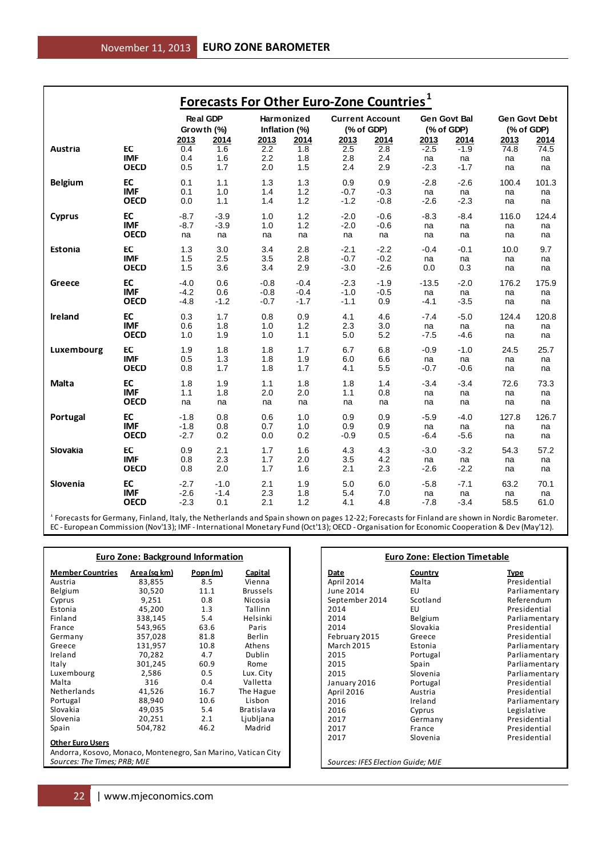| <b>Forecasts For Other Euro-Zone Countries</b> <sup>1</sup> |                           |                  |                 |                  |                  |                  |                        |              |              |                      |            |
|-------------------------------------------------------------|---------------------------|------------------|-----------------|------------------|------------------|------------------|------------------------|--------------|--------------|----------------------|------------|
|                                                             |                           |                  | <b>Real GDP</b> | Harmonized       |                  |                  | <b>Current Account</b> | Gen Govt Bal |              | <b>Gen Govt Debt</b> |            |
|                                                             |                           | Growth (%)       |                 | Inflation (%)    |                  |                  | (% of GDP)             |              | (% of GDP)   | (% of GDP)           |            |
|                                                             |                           | 2013             | 2014            | 2013             | 2014             | 2013             | 2014                   | 2013         | 2014         | 2013                 | 2014       |
| Austria                                                     | EC<br><b>IMF</b>          | 0.4<br>0.4       | 1.6<br>1.6      | 2.2<br>2.2       | 1.8<br>1.8       | 2.5<br>2.8       | 2.8<br>2.4             | $-2.5$<br>na | $-1.9$<br>na | 74.8<br>na           | 74.5<br>na |
|                                                             | <b>OECD</b>               | 0.5              | 1.7             | 2.0              | 1.5              | 2.4              | 2.9                    | $-2.3$       | $-1.7$       | na                   | na         |
| <b>Belgium</b>                                              | EC                        | 0.1              | 1.1             | 1.3              | 1.3              | 0.9              | 0.9                    | $-2.8$       | $-2.6$       | 100.4                | 101.3      |
|                                                             | <b>IMF</b>                | 0.1              | 1.0             | 1.4              | 1.2              | $-0.7$           | $-0.3$                 | na           | na           | na                   | na         |
|                                                             | <b>OECD</b>               | 0.0              | 1.1             | 1.4              | 1.2              | $-1.2$           | $-0.8$                 | $-2.6$       | $-2.3$       | na                   | na         |
| <b>Cyprus</b>                                               | EC                        | $-8.7$           | $-3.9$          | 1.0              | 1.2              | $-2.0$           | $-0.6$                 | $-8.3$       | $-8.4$       | 116.0                | 124.4      |
|                                                             | <b>IMF</b>                | $-8.7$           | $-3.9$          | 1.0              | 1.2              | $-2.0$           | $-0.6$                 | na           | na           | na                   | na         |
|                                                             | <b>OECD</b>               | na               | na              | na               | na               | na               | na                     | na           | na           | na                   | na         |
| Estonia                                                     | EC                        | 1.3              | 3.0             | 3.4              | 2.8              | $-2.1$           | $-2.2$                 | $-0.4$       | $-0.1$       | 10.0                 | 9.7        |
|                                                             | <b>IMF</b>                | 1.5              | 2.5             | 3.5              | 2.8              | $-0.7$           | $-0.2$                 | na           | na           | na                   | na         |
|                                                             | <b>OECD</b>               | 1.5              | 3.6             | 3.4              | 2.9              | $-3.0$           | $-2.6$                 | 0.0          | 0.3          | na                   | na         |
| Greece                                                      | EC                        | $-4.0$           | 0.6             | $-0.8$           | $-0.4$           | $-2.3$           | $-1.9$                 | $-13.5$      | $-2.0$       | 176.2                | 175.9      |
|                                                             | <b>IMF</b><br><b>OECD</b> | $-4.2$<br>$-4.8$ | 0.6<br>$-1.2$   | $-0.8$<br>$-0.7$ | $-0.4$<br>$-1.7$ | $-1.0$<br>$-1.1$ | $-0.5$<br>0.9          | na<br>$-4.1$ | na<br>$-3.5$ | na<br>na             | na<br>na   |
|                                                             |                           |                  |                 |                  |                  |                  |                        |              |              |                      |            |
| Ireland                                                     | EC<br><b>IMF</b>          | 0.3<br>0.6       | 1.7<br>1.8      | 0.8<br>1.0       | 0.9<br>1.2       | 4.1<br>2.3       | 4.6<br>3.0             | $-7.4$       | $-5.0$       | 124.4                | 120.8      |
|                                                             | <b>OECD</b>               | 1.0              | 1.9             | 1.0              | 1.1              | 5.0              | 5.2                    | na<br>$-7.5$ | na<br>$-4.6$ | na<br>na             | na<br>na   |
|                                                             | EC                        | 1.9              | 1.8             | 1.8              | 1.7              | 6.7              | 6.8                    | $-0.9$       | $-1.0$       | 24.5                 | 25.7       |
| Luxembourg                                                  | <b>IMF</b>                | 0.5              | 1.3             | 1.8              | 1.9              | 6.0              | 6.6                    | na           | na           | na                   | na         |
|                                                             | <b>OECD</b>               | 0.8              | 1.7             | 1.8              | 1.7              | 4.1              | 5.5                    | -0.7         | $-0.6$       | na                   | na         |
| Malta                                                       | EC                        | 1.8              | 1.9             | 1.1              | 1.8              | 1.8              | 1.4                    | $-3.4$       | $-3.4$       | 72.6                 | 73.3       |
|                                                             | <b>IMF</b>                | 1.1              | 1.8             | 2.0              | 2.0              | 1.1              | 0.8                    | na           | na           | na                   | na         |
|                                                             | <b>OECD</b>               | na               | na              | na               | na               | na               | na                     | na           | na           | na                   | na         |
| Portugal                                                    | EC                        | $-1.8$           | 0.8             | 0.6              | 1.0              | 0.9              | 0.9                    | $-5.9$       | $-4.0$       | 127.8                | 126.7      |
|                                                             | <b>IMF</b>                | $-1.8$           | 0.8             | 0.7              | 1.0              | 0.9              | 0.9                    | na           | na           | na                   | na         |
|                                                             | <b>OECD</b>               | $-2.7$           | 0.2             | 0.0              | 0.2              | $-0.9$           | 0.5                    | -6.4         | $-5.6$       | na                   | na         |
| Slovakia                                                    | EC                        | 0.9              | 2.1             | 1.7              | 1.6              | 4.3              | 4.3                    | $-3.0$       | $-3.2$       | 54.3                 | 57.2       |
|                                                             | <b>IMF</b><br><b>OECD</b> | 0.8              | 2.3             | 1.7              | 2.0              | 3.5              | 4.2                    | na           | na           | na                   | na         |
|                                                             |                           | 0.8              | 2.0             | 1.7              | 1.6              | 2.1              | 2.3                    | $-2.6$       | $-2.2$       | na                   | na         |
| Slovenia                                                    | EC                        | $-2.7$           | $-1.0$          | 2.1              | 1.9              | 5.0              | 6.0                    | $-5.8$       | $-7.1$       | 63.2                 | 70.1       |
|                                                             | <b>IMF</b><br><b>OECD</b> | $-2.6$<br>$-2.3$ | $-1.4$<br>0.1   | 2.3<br>2.1       | 1.8<br>1.2       | 5.4<br>4.1       | 7.0<br>4.8             | na<br>$-7.8$ | na<br>$-3.4$ | na<br>58.5           | na<br>61.0 |
|                                                             |                           |                  |                 |                  |                  |                  |                        |              |              |                      |            |

<sup>1</sup> Forecasts for Germany, Finland, Italy, the Netherlands and Spain shown on pages 12-22; Forecasts for Finland are shown in Nordic Barometer. EC - European Commission (Nov'13); IMF - International Monetary Fund (Oct'13); OECD - Organisation for Economic Cooperation & Dev (May'12).

| <b>Euro Zone: Background Information</b>                      |              |          |                 |  |  |  |
|---------------------------------------------------------------|--------------|----------|-----------------|--|--|--|
| <b>Member Countries</b>                                       | Area (sq km) | Popn (m) | Capital         |  |  |  |
| Austria                                                       | 83,855       | 8.5      | Vienna          |  |  |  |
| Belgium                                                       | 30,520       | 11.1     | <b>Brussels</b> |  |  |  |
| Cyprus                                                        | 9,251        | 0.8      | Nicosia         |  |  |  |
| Estonia                                                       | 45,200       | 1.3      | Tallinn         |  |  |  |
| Finland                                                       | 338,145      | 5.4      | Helsinki        |  |  |  |
| France                                                        | 543,965      | 63.6     | Paris           |  |  |  |
| Germany                                                       | 357,028      | 81.8     | Berlin          |  |  |  |
| Greece                                                        | 131,957      | 10.8     | Athens          |  |  |  |
| Ireland                                                       | 70,282       | 4.7      | Dublin          |  |  |  |
| Italy                                                         | 301,245      | 60.9     | Rome            |  |  |  |
| Luxembourg                                                    | 2,586        | 0.5      | Lux. City       |  |  |  |
| Malta                                                         | 316          | 0.4      | Valletta        |  |  |  |
| Netherlands                                                   | 41,526       | 16.7     | The Hague       |  |  |  |
| Portugal                                                      | 88,940       | 10.6     | Lisbon          |  |  |  |
| Slovakia                                                      | 49,035       | 5.4      | Bratislava      |  |  |  |
| Slovenia                                                      | 20,251       | 2.1      | Ljubljana       |  |  |  |
| Spain                                                         | 504,782      | 46.2     | Madrid          |  |  |  |
| <b>Other Euro Users</b>                                       |              |          |                 |  |  |  |
| Andorra, Kosovo, Monaco, Montenegro, San Marino, Vatican City |              |          |                 |  |  |  |
| Sources: The Times; PRB; MJE                                  |              |          |                 |  |  |  |

#### **Euro Zone: Election Timetable**

**Date Country Type**<br> **Country Type**<br> **Country Type**<br> **Country Type** September 2014<br>2014 2014 EU EU Presidential<br>2014 Belgium Parliamenta 2014 Belgium Parliamentary<br>2014 Slovakia Presidential February 2015 Greece<br>March 2015 Estonia March 2015 Estonia Parliamentary<br>1997 - Portugal Parliamentary<br>2015 - Portugal Parliamentary 2015 Portugal Portugal Parliamentary<br>2015 Spain Parliamentary 2015 Spain Spain Parliamentary<br>2015 Slovenia Parliamentary January 2016 Portuga<br>
April 2016 Austria April 2016 Austria Presidential 2016 1reland Parliamentary<br>2016 Cyprus Regislative 2016 Cyprus Communicative Legislative<br>2017 Cermany Presidentia 2017 Germany Presidential 2017 France Presidential<br>2017 Slovenia Presidential *Sources: IFES Election Guide; MJE*

## April 2014 Malta Malta Presidential<br>
June 2014 EU Parliamenta

EU Parliamentary<br>Scotland Referendum 2014 Slovakia Residential<br>1914 Greece Special Presidential 2015 Slovenia Parliamentary<br>
2015 Presidential<br>
Presidential Presidential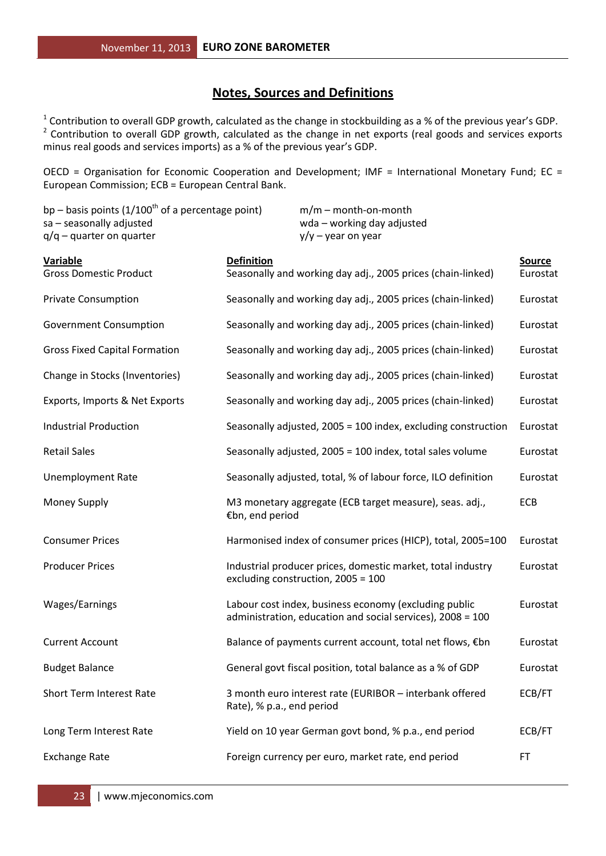### **Notes, Sources and Definitions**

<sup>1</sup> Contribution to overall GDP growth, calculated as the change in stockbuilding as a % of the previous year's GDP.<br><sup>2</sup> Contribution to overall GDP growth, calculated as the change in net exports (real goods and services minus real goods and services imports) as a % of the previous year's GDP.

OECD = Organisation for Economic Cooperation and Development; IMF = International Monetary Fund; EC = European Commission; ECB = European Central Bank.

| bp – basis points $(1/100^{th}$ of a percentage point)<br>sa - seasonally adjusted<br>$q/q$ – quarter on quarter | $m/m$ – month-on-month<br>wda - working day adjusted<br>$y/y - year$ on year                                        |                           |
|------------------------------------------------------------------------------------------------------------------|---------------------------------------------------------------------------------------------------------------------|---------------------------|
| <b>Variable</b><br><b>Gross Domestic Product</b>                                                                 | <b>Definition</b><br>Seasonally and working day adj., 2005 prices (chain-linked)                                    | <b>Source</b><br>Eurostat |
| <b>Private Consumption</b>                                                                                       | Seasonally and working day adj., 2005 prices (chain-linked)                                                         | Eurostat                  |
| <b>Government Consumption</b>                                                                                    | Seasonally and working day adj., 2005 prices (chain-linked)                                                         | Eurostat                  |
| <b>Gross Fixed Capital Formation</b>                                                                             | Seasonally and working day adj., 2005 prices (chain-linked)                                                         | Eurostat                  |
| Change in Stocks (Inventories)                                                                                   | Seasonally and working day adj., 2005 prices (chain-linked)                                                         | Eurostat                  |
| Exports, Imports & Net Exports                                                                                   | Seasonally and working day adj., 2005 prices (chain-linked)                                                         | Eurostat                  |
| <b>Industrial Production</b>                                                                                     | Seasonally adjusted, 2005 = 100 index, excluding construction                                                       | Eurostat                  |
| <b>Retail Sales</b>                                                                                              | Seasonally adjusted, 2005 = 100 index, total sales volume                                                           | Eurostat                  |
| <b>Unemployment Rate</b>                                                                                         | Seasonally adjusted, total, % of labour force, ILO definition                                                       | Eurostat                  |
| <b>Money Supply</b>                                                                                              | M3 monetary aggregate (ECB target measure), seas. adj.,<br>€bn, end period                                          | ECB                       |
| <b>Consumer Prices</b>                                                                                           | Harmonised index of consumer prices (HICP), total, 2005=100                                                         | Eurostat                  |
| <b>Producer Prices</b>                                                                                           | Industrial producer prices, domestic market, total industry<br>excluding construction, $2005 = 100$                 | Eurostat                  |
| Wages/Earnings                                                                                                   | Labour cost index, business economy (excluding public<br>administration, education and social services), 2008 = 100 | Eurostat                  |
| <b>Current Account</b>                                                                                           | Balance of payments current account, total net flows, €bn                                                           | Eurostat                  |
| <b>Budget Balance</b>                                                                                            | General govt fiscal position, total balance as a % of GDP                                                           | Eurostat                  |
| Short Term Interest Rate                                                                                         | 3 month euro interest rate (EURIBOR - interbank offered<br>Rate), % p.a., end period                                | ECB/FT                    |
| Long Term Interest Rate                                                                                          | Yield on 10 year German govt bond, % p.a., end period                                                               | ECB/FT                    |
| <b>Exchange Rate</b>                                                                                             | Foreign currency per euro, market rate, end period                                                                  | FT                        |